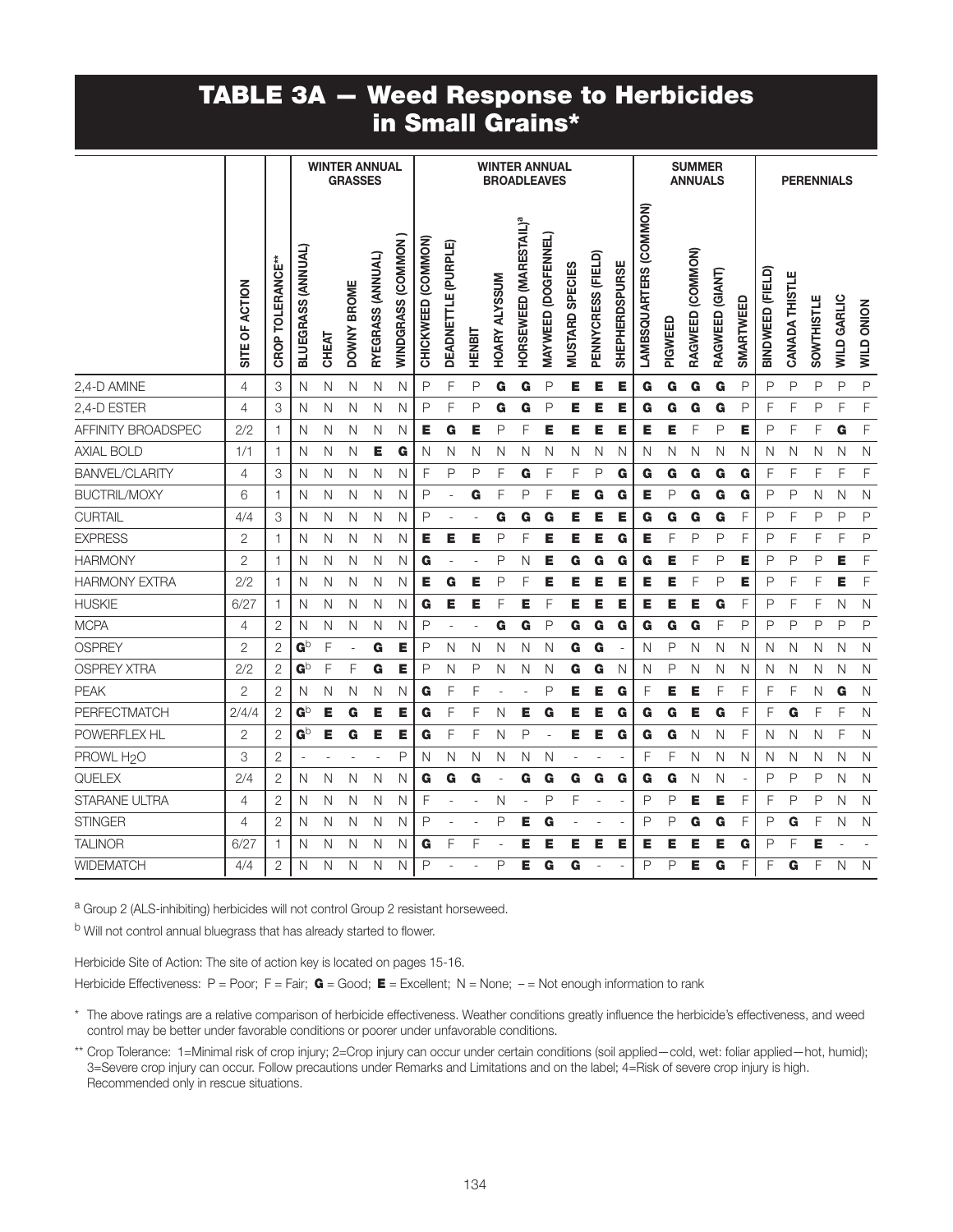## TABLE 3A — Weed Response to Herbicides in Small Grains\*

|                        |                |                  |                       | <b>WINTER ANNUAL</b> | <b>GRASSES</b> |                   |                           |                       |                     |        |                      | <b>WINTER ANNUAL</b><br><b>BROADLEAVES</b> |                     |                        |                    |                       |                        |         | <b>SUMMER</b><br><b>ANNUALS</b> |                 |                          |                  |                       | <b>PERENNIALS</b> |                    |                   |
|------------------------|----------------|------------------|-----------------------|----------------------|----------------|-------------------|---------------------------|-----------------------|---------------------|--------|----------------------|--------------------------------------------|---------------------|------------------------|--------------------|-----------------------|------------------------|---------|---------------------------------|-----------------|--------------------------|------------------|-----------------------|-------------------|--------------------|-------------------|
|                        | SITE OF ACTION | CROP TOLERANCE** | BLUEGRASS (ANNUAL)    | CHEAT                | DOWNY BROME    | RYEGRASS (ANNUAL) | <b>WINDGRASS (COMMON)</b> | (COMMON)<br>CHICKWEED | DEADNETTLE (PURPLE) | HENBIT | <b>HOARY ALYSSUM</b> | HORSEWEED (MARESTAIL) <sup>ª</sup>         | MAYWEED (DOGFENNEL) | <b>MUSTARD SPECIES</b> | PENNYCRESS (FIELD) | <b>SHEPHERDSPURSE</b> | LAMBSQUARTERS (COMMON) | PIGWEED | RAGWEED (COMMON)                | RAGWEED (GIANT) | <b>SMARTWEED</b>         | BINDWEED (FIELD) | <b>CANADA THISTLE</b> | <b>SOWTHISTLE</b> | <b>WILD GARLIC</b> | <b>WILD ONION</b> |
| 2,4-D AMINE            | 4              | 3                | N                     | N                    | N              | N                 | N                         | P                     | F                   | P      | G                    | G                                          | P                   | Е                      | Е                  | Е                     | G                      | G       | G                               | G               | P                        | P                | P                     | P                 | P                  | $\mathsf P$       |
| 2,4-D ESTER            | $\overline{4}$ | 3                | N                     | N                    | N              | N                 | N                         | P                     | F                   | P      | G                    | G                                          | P                   | Е                      | Е                  | Е                     | G                      | G       | G                               | G               | P                        | F                | F                     | P                 | F                  | F                 |
| AFFINITY BROADSPEC     | 2/2            | 1                | N                     | N                    | N              | N                 | N                         | Е                     | G                   | E      | P                    | F                                          | E                   | Е                      | Е                  | E                     | E                      | E       | F                               | P               | E                        | P                | F                     | F                 | G                  | F                 |
| <b>AXIAL BOLD</b>      | 1/1            | 1                | N                     | N                    | Ν              | Е                 | G                         | N                     | N                   | Ν      | N                    | N                                          | N                   | N                      | N                  | N                     | N                      | N       | N                               | N               | Ν                        | N                | N                     | N                 | N                  | $\mathsf{N}$      |
| <b>BANVEL/CLARITY</b>  | 4              | 3                | N                     | N                    | N              | N                 | N                         | F                     | P                   | P      | F                    | G                                          | F                   | F                      | P                  | G                     | G                      | G       | G                               | G               | G                        | F                | F                     | F                 | F                  | F                 |
| <b>BUCTRIL/MOXY</b>    | 6              | 1                | N                     | N                    | N              | N                 | N                         | P                     | ÷,                  | G      | F                    | P                                          | F                   | Е                      | G                  | G                     | E                      | P       | G                               | G               | G                        | P                | P                     | N                 | N                  | N                 |
| <b>CURTAIL</b>         | 4/4            | 3                | N                     | Ν                    | N              | N                 | N                         | P                     |                     |        | G                    | G                                          | G                   | Е                      | Е                  | Е                     | G                      | G       | G                               | G               | F                        | P                | F                     | P                 | P                  | P                 |
| <b>EXPRESS</b>         | 2              | 1.               | N                     | Ν                    | N              | N                 | N                         | Е                     | Е                   | Е      | P                    | F                                          | Е                   | Е                      | Е                  | G                     | Е                      | F       | P                               | P               | F                        | Ρ                | F                     | F                 | F                  | P                 |
| <b>HARMONY</b>         | $\overline{2}$ | 1.               | N                     | N                    | Ν              | N                 | N                         | G                     |                     |        | P                    | N                                          | E                   | G                      | G                  | G                     | G                      | E       | F                               | P               | Е                        | P                | P                     | P                 | Е                  | F                 |
| <b>HARMONY EXTRA</b>   | 2/2            | 1                | N                     | N                    | N              | N                 | N                         | Е                     | G                   | Е      | P                    | F                                          | Е                   | Е                      | Е                  | E                     | E                      | Е       | F                               | P               | E                        | P                | F                     | F                 | E                  | F                 |
| <b>HUSKIE</b>          | 6/27           | 1.               | N                     | N                    | N              | N                 | N                         | G                     | Е                   | Е      | F                    | Е                                          | F                   | Е                      | Е                  | Е                     | Е                      | E       | Е                               | G               | F                        | P                | F                     | F                 | N                  | $\mathsf{N}$      |
| <b>MCPA</b>            | 4              | 2                | N                     | N                    | N              | N                 | N                         | P                     | ÷,                  |        | G                    | G                                          | P                   | G                      | G                  | G                     | G                      | G       | G                               | F               | P                        | Ρ                | P                     | P                 | P                  | P                 |
| <b>OSPREY</b>          | $\overline{2}$ | $\mathbf{2}$     | GÞ                    | F                    | ä,             | G                 | Е                         | P                     | N                   | N      | N                    | Ν                                          | N                   | G                      | G                  | $\sim$                | N                      | P       | N                               | N               | N                        | N                | N                     | N                 | N                  | $\mathsf{N}$      |
| <b>OSPREY XTRA</b>     | 2/2            | $\mathbf{2}$     | $\mathbf{G}^\text{b}$ | F                    | F              | G                 | Е                         | P                     | N                   | Ρ      | N                    | Ν                                          | Ν                   | G                      | G                  | N                     | N                      | P       | N                               | N               | Ν                        | N                | N                     | N                 | N                  | N                 |
| <b>PEAK</b>            | $\overline{2}$ | $\mathbf{2}$     | N                     | Ν                    | N              | N                 | N                         | G                     | F                   | F      |                      |                                            | P                   | Е                      | Е                  | G                     | F                      | Е       | Е                               | F               | F                        | F                | F                     | N                 | G                  | N                 |
| <b>PERFECTMATCH</b>    | 2/4/4          | $\overline{2}$   | $\mathbf{G}^\text{b}$ | Е                    | G              | Е                 | Е                         | G                     | F                   | F      | Ν                    | E                                          | G                   | Е                      | Е                  | G                     | G                      | G       | Е                               | G               | F                        | F                | G                     | F                 | F                  | $\mathsf{N}$      |
| <b>POWERFLEX HL</b>    | $\overline{2}$ | $\overline{2}$   | $\mathbf{G}^\text{b}$ | Е                    | G              | Е                 | Е                         | G                     | F                   | F      | N                    | P                                          | L,                  | Е                      | Е                  | G                     | G                      | G       | N                               | N               | F                        | N                | N                     | N                 | F                  | N                 |
| PROWL H <sub>2</sub> O | 3              | $\mathbf{2}$     |                       |                      |                |                   | P                         | N                     | N                   | Ν      | N                    | Ν                                          | N                   |                        |                    |                       | F                      | F       | N                               | N               | Ν                        | N                | N                     | N                 | N                  | $\mathsf{N}$      |
| QUELEX                 | 2/4            | $\overline{2}$   | N                     | N                    | N              | N                 | N                         | G                     | G                   | G      |                      | G                                          | G                   | G                      | G                  | G                     | G                      | G       | N                               | N               | $\overline{\phantom{a}}$ | P                | P                     | P                 | N                  | $\mathsf{N}$      |
| <b>STARANE ULTRA</b>   | 4              | $\overline{2}$   | N                     | N                    | N              | N                 | $\mathsf{N}$              | F                     |                     |        | N                    |                                            | P                   | F                      |                    |                       | P                      | P       | Е                               | Е               | F                        | F                | P                     | P                 | N                  | $\mathsf{N}$      |
| <b>STINGER</b>         | 4              | $\overline{2}$   | N                     | N                    | N              | N                 | N                         | P                     |                     |        | P                    | Е                                          | G                   |                        |                    |                       | P                      | P       | G                               | G               | F                        | P                | G                     | F                 | N                  | $\mathsf{N}$      |
| <b>TALINOR</b>         | 6/27           | 1.               | N                     | Ν                    | N              | N                 | N                         | G                     | F                   | F      |                      | E                                          | Е                   | Е                      | Е                  | Е                     | Е                      | Е       | Е                               | Е               | G                        | P                | F                     | E                 |                    |                   |
| <b>WIDEMATCH</b>       | 4/4            | 2                | N                     | N                    | N              | N                 | N                         | P                     |                     |        | P                    | E.                                         | G                   | G                      |                    |                       | Ρ                      | Ρ       | E                               | G               | F                        | F                | G                     | F                 | N                  | $\mathsf{N}$      |

a Group 2 (ALS-inhibiting) herbicides will not control Group 2 resistant horseweed.

b Will not control annual bluegrass that has already started to flower.

Herbicide Site of Action: The site of action key is located on pages 15-16.

Herbicide Effectiveness: P = Poor; F = Fair;  $G = Good$ ; E = Excellent; N = None; - = Not enough information to rank

\* The above ratings are a relative comparison of herbicide effectiveness. Weather conditions greatly influence the herbicide's effectiveness, and weed control may be better under favorable conditions or poorer under unfavorable conditions.

\*\* Crop Tolerance: 1=Minimal risk of crop injury; 2=Crop injury can occur under certain conditions (soil applied—cold, wet: foliar applied—hot, humid); 3=Severe crop injury can occur. Follow precautions under Remarks and Limitations and on the label; 4=Risk of severe crop injury is high. Recommended only in rescue situations.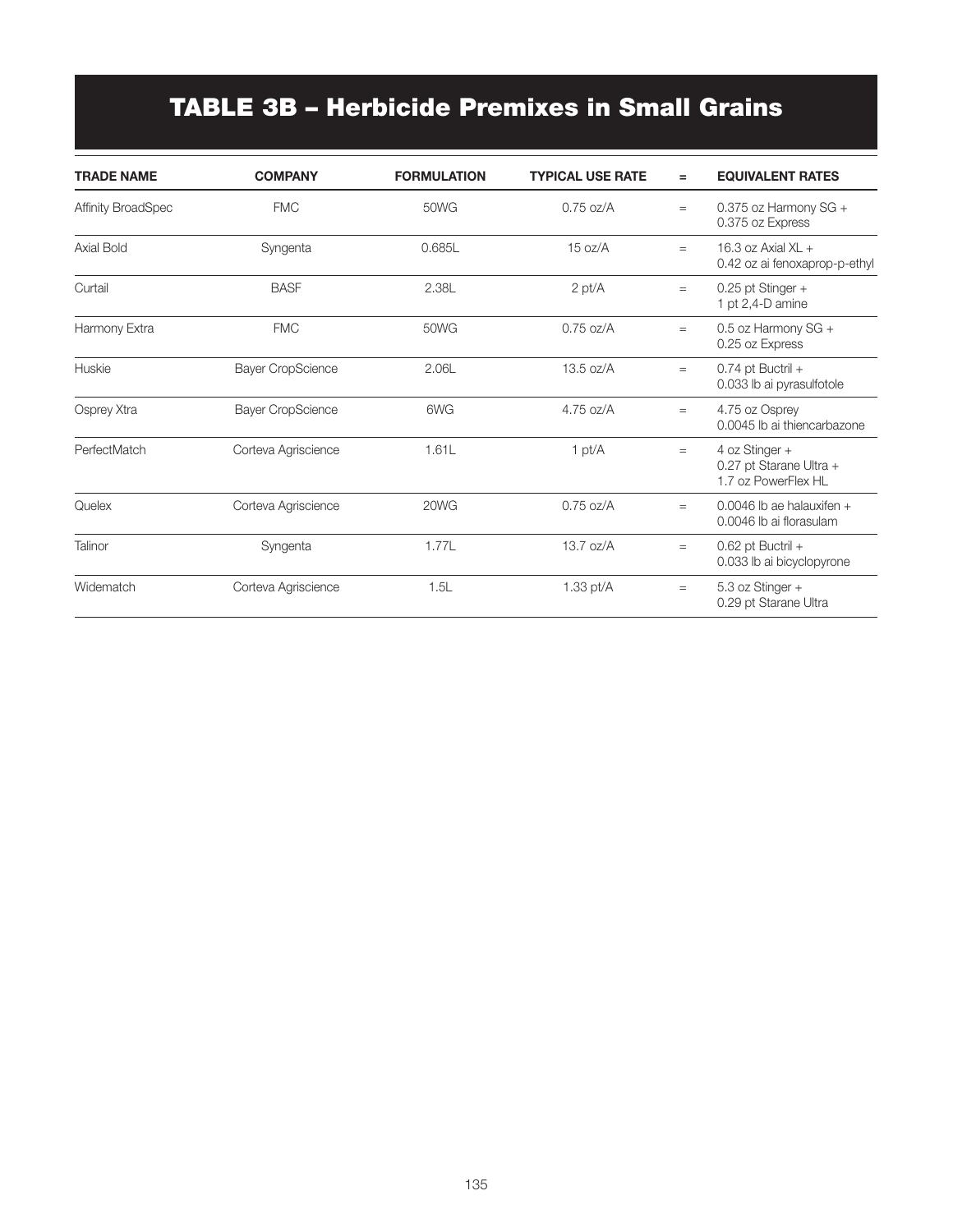# TABLE 3B – Herbicide Premixes in Small Grains

| <b>TRADE NAME</b>         | <b>COMPANY</b>           | <b>FORMULATION</b> | <b>TYPICAL USE RATE</b> | $=$ | <b>EQUIVALENT RATES</b>                                          |
|---------------------------|--------------------------|--------------------|-------------------------|-----|------------------------------------------------------------------|
| <b>Affinity BroadSpec</b> | <b>FMC</b>               | 50WG               | $0.75$ oz/A             | $=$ | 0.375 oz Harmony $SG +$<br>0.375 oz Express                      |
| Axial Bold                | Syngenta                 | 0.685L             | 15 oz/A                 | $=$ | 16.3 oz Axial $XL +$<br>0.42 oz ai fenoxaprop-p-ethyl            |
| Curtail                   | <b>BASF</b>              | 2.38L              | $2$ pt/ $A$             | $=$ | $0.25$ pt Stinger +<br>1 pt 2,4-D amine                          |
| Harmony Extra             | <b>FMC</b>               | <b>50WG</b>        | $0.75$ oz/A             | $=$ | 0.5 oz Harmony SG +<br>0.25 oz Express                           |
| Huskie                    | <b>Bayer CropScience</b> | 2.06L              | $13.5 \text{ oz/A}$     | $=$ | $0.74$ pt Buctril +<br>0.033 lb ai pyrasulfotole                 |
| Osprey Xtra               | <b>Bayer CropScience</b> | 6WG                | $4.75$ oz/A             | $=$ | 4.75 oz Osprey<br>0.0045 lb ai thiencarbazone                    |
| PerfectMatch              | Corteva Agriscience      | 1.61L              | $1$ pt/ $A$             | $=$ | 4 oz Stinger +<br>0.27 pt Starane Ultra +<br>1.7 oz PowerFlex HL |
| Quelex                    | Corteva Agriscience      | 20WG               | $0.75$ oz/A             | $=$ | 0.0046 lb ae halauxifen $+$<br>0.0046 lb ai florasulam           |
| Talinor                   | Syngenta                 | 1.77L              | $13.7 \text{ oz/A}$     | $=$ | $0.62$ pt Buctril +<br>0.033 lb ai bicyclopyrone                 |
| Widematch                 | Corteva Agriscience      | 1.5L               | 1.33 $pt/A$             | $=$ | 5.3 oz Stinger +<br>0.29 pt Starane Ultra                        |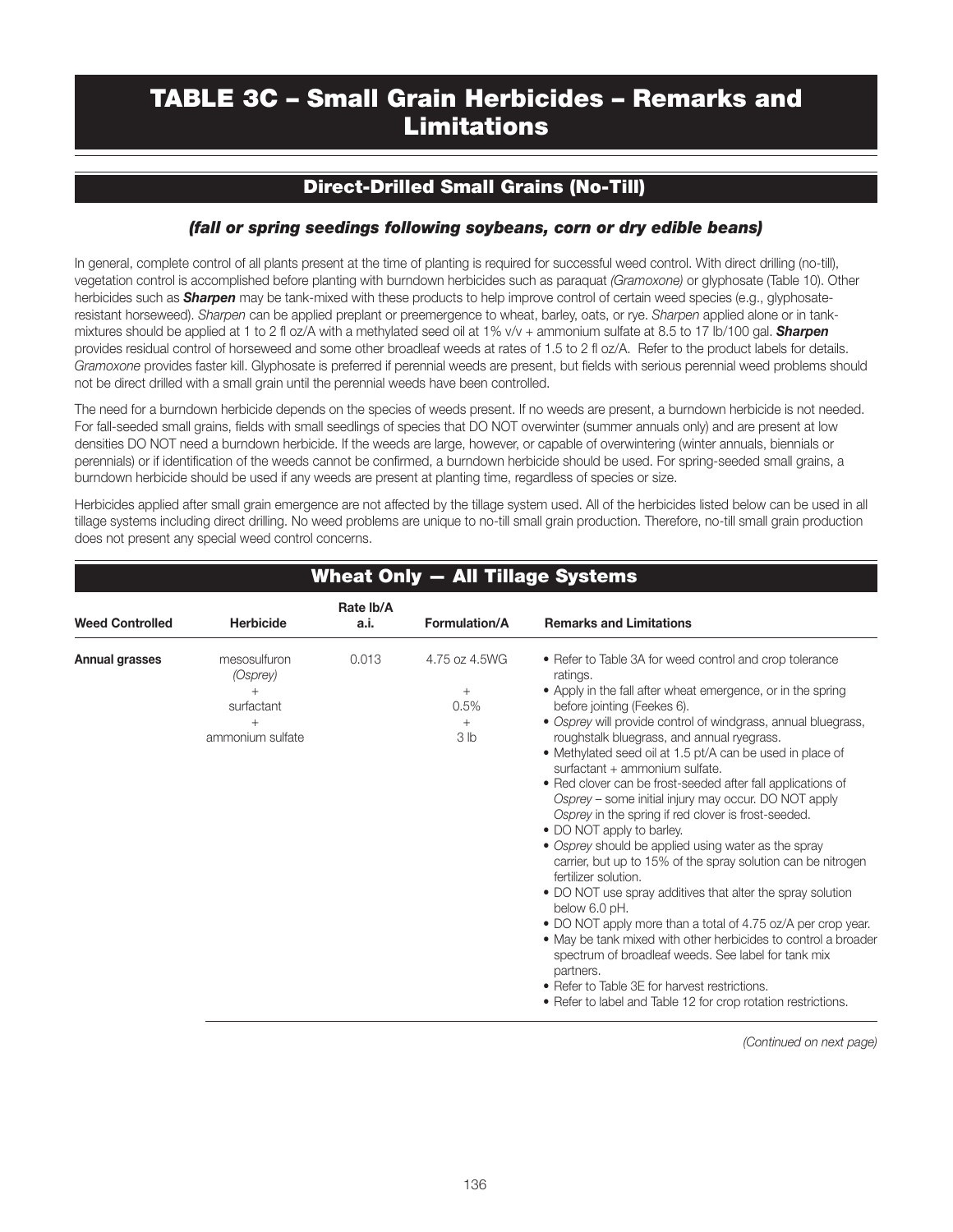## TABLE 3C – Small Grain Herbicides – Remarks and **Limitations**

### Direct-Drilled Small Grains (No-Till)

#### *(fall or spring seedings following soybeans, corn or dry edible beans)*

In general, complete control of all plants present at the time of planting is required for successful weed control. With direct drilling (no-till), vegetation control is accomplished before planting with burndown herbicides such as paraquat *(Gramoxone)* or glyphosate (Table 10). Other herbicides such as *Sharpen* may be tank-mixed with these products to help improve control of certain weed species (e.g., glyphosateresistant horseweed). *Sharpen* can be applied preplant or preemergence to wheat, barley, oats, or rye. *Sharpen* applied alone or in tankmixtures should be applied at 1 to 2 fl oz/A with a methylated seed oil at 1% v/v + ammonium sulfate at 8.5 to 17 lb/100 gal. *Sharpen* provides residual control of horseweed and some other broadleaf weeds at rates of 1.5 to 2 fl oz/A. Refer to the product labels for details. *Gramoxone* provides faster kill. Glyphosate is preferred if perennial weeds are present, but fields with serious perennial weed problems should not be direct drilled with a small grain until the perennial weeds have been controlled.

The need for a burndown herbicide depends on the species of weeds present. If no weeds are present, a burndown herbicide is not needed. For fall-seeded small grains, fields with small seedlings of species that DO NOT overwinter (summer annuals only) and are present at low densities DO NOT need a burndown herbicide. If the weeds are large, however, or capable of overwintering (winter annuals, biennials or perennials) or if identification of the weeds cannot be confirmed, a burndown herbicide should be used. For spring-seeded small grains, a burndown herbicide should be used if any weeds are present at planting time, regardless of species or size.

Herbicides applied after small grain emergence are not affected by the tillage system used. All of the herbicides listed below can be used in all tillage systems including direct drilling. No weed problems are unique to no-till small grain production. Therefore, no-till small grain production does not present any special weed control concerns.

|                        |                                                                      | Rate Ib/A |                                                       |                                                                                                                                                                                                                                                                                                                                                                                                                                                                                                                                                                                                                                                                                                                                                                                                                                                                                                                                                                                                                                                                                                                                                  |
|------------------------|----------------------------------------------------------------------|-----------|-------------------------------------------------------|--------------------------------------------------------------------------------------------------------------------------------------------------------------------------------------------------------------------------------------------------------------------------------------------------------------------------------------------------------------------------------------------------------------------------------------------------------------------------------------------------------------------------------------------------------------------------------------------------------------------------------------------------------------------------------------------------------------------------------------------------------------------------------------------------------------------------------------------------------------------------------------------------------------------------------------------------------------------------------------------------------------------------------------------------------------------------------------------------------------------------------------------------|
| <b>Weed Controlled</b> | <b>Herbicide</b>                                                     | a.i.      | Formulation/A                                         | <b>Remarks and Limitations</b>                                                                                                                                                                                                                                                                                                                                                                                                                                                                                                                                                                                                                                                                                                                                                                                                                                                                                                                                                                                                                                                                                                                   |
| Annual grasses         | mesosulfuron<br>(Osprey)<br>$^{+}$<br>surfactant<br>ammonium sulfate | 0.013     | 4.75 oz 4.5WG<br>$+$<br>0.5%<br>$+$<br>3 <sub>h</sub> | • Refer to Table 3A for weed control and crop tolerance<br>ratings.<br>• Apply in the fall after wheat emergence, or in the spring<br>before jointing (Feekes 6).<br>• Osprey will provide control of windgrass, annual bluegrass,<br>roughstalk bluegrass, and annual ryegrass.<br>• Methylated seed oil at 1.5 pt/A can be used in place of<br>surfactant + ammonium sulfate.<br>• Red clover can be frost-seeded after fall applications of<br>Osprey - some initial injury may occur. DO NOT apply<br>Osprey in the spring if red clover is frost-seeded.<br>• DO NOT apply to barley.<br>• Osprey should be applied using water as the spray<br>carrier, but up to 15% of the spray solution can be nitrogen<br>fertilizer solution.<br>• DO NOT use spray additives that alter the spray solution<br>below 6.0 pH.<br>• DO NOT apply more than a total of 4.75 oz/A per crop year.<br>• May be tank mixed with other herbicides to control a broader<br>spectrum of broadleaf weeds. See label for tank mix<br>partners.<br>• Refer to Table 3E for harvest restrictions.<br>• Refer to label and Table 12 for crop rotation restrictions. |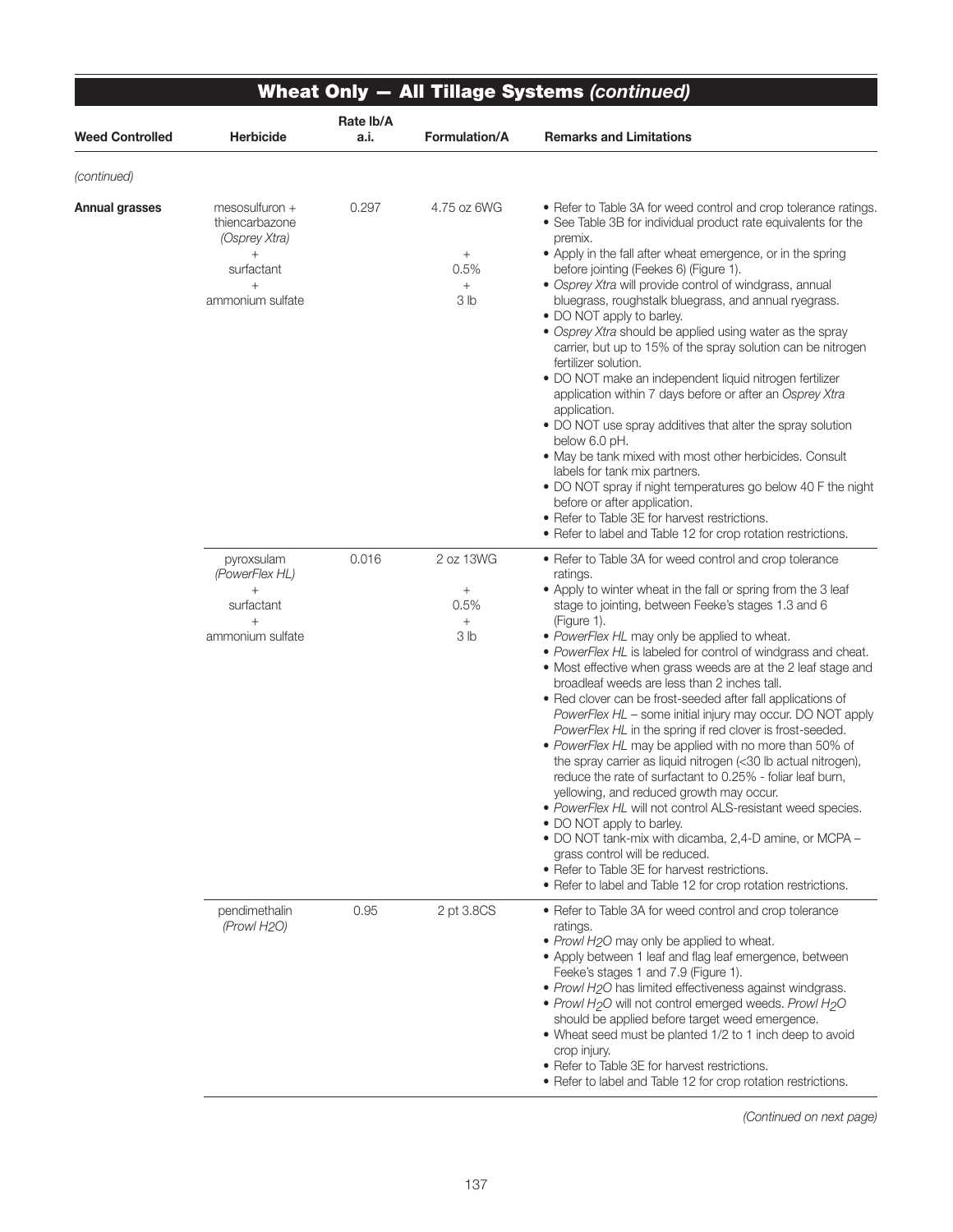| <b>Weed Controlled</b>        | <b>Herbicide</b>                                                                                        | Rate Ib/A<br>a.i. | <b>Formulation/A</b>                                              | <b>Remarks and Limitations</b>                                                                                                                                                                                                                                                                                                                                                                                                                                                                                                                                                                                                                                                                                                                                                                                                                                                                                                                                                                                                                                                                                                                                                        |
|-------------------------------|---------------------------------------------------------------------------------------------------------|-------------------|-------------------------------------------------------------------|---------------------------------------------------------------------------------------------------------------------------------------------------------------------------------------------------------------------------------------------------------------------------------------------------------------------------------------------------------------------------------------------------------------------------------------------------------------------------------------------------------------------------------------------------------------------------------------------------------------------------------------------------------------------------------------------------------------------------------------------------------------------------------------------------------------------------------------------------------------------------------------------------------------------------------------------------------------------------------------------------------------------------------------------------------------------------------------------------------------------------------------------------------------------------------------|
|                               |                                                                                                         |                   |                                                                   |                                                                                                                                                                                                                                                                                                                                                                                                                                                                                                                                                                                                                                                                                                                                                                                                                                                                                                                                                                                                                                                                                                                                                                                       |
| (continued)<br>Annual grasses | mesosulfuron +<br>thiencarbazone<br>(Osprey Xtra)<br>$^{+}$<br>surfactant<br>$^{+}$<br>ammonium sulfate | 0.297             | 4.75 oz 6WG<br>$+$<br>0.5%<br>$^{+}$<br>3 <sub>lb</sub>           | • Refer to Table 3A for weed control and crop tolerance ratings.<br>• See Table 3B for individual product rate equivalents for the<br>premix.<br>• Apply in the fall after wheat emergence, or in the spring<br>before jointing (Feekes 6) (Figure 1).<br>· Osprey Xtra will provide control of windgrass, annual<br>bluegrass, roughstalk bluegrass, and annual ryegrass.<br>• DO NOT apply to barley.<br>• Osprey Xtra should be applied using water as the spray<br>carrier, but up to 15% of the spray solution can be nitrogen<br>fertilizer solution.<br>• DO NOT make an independent liquid nitrogen fertilizer<br>application within 7 days before or after an Osprey Xtra<br>application.<br>. DO NOT use spray additives that alter the spray solution<br>below 6.0 pH.<br>• May be tank mixed with most other herbicides. Consult<br>labels for tank mix partners.<br>• DO NOT spray if night temperatures go below 40 F the night<br>before or after application.<br>• Refer to Table 3E for harvest restrictions.<br>• Refer to label and Table 12 for crop rotation restrictions.                                                                                       |
|                               | pyroxsulam<br>(PowerFlex HL)<br>$+$<br>surfactant<br>$^{+}$<br>ammonium sulfate                         | 0.016             | 2 oz 13WG<br>$\! + \!\!\!\!$<br>0.5%<br>$^{+}$<br>3 <sub>lb</sub> | • Refer to Table 3A for weed control and crop tolerance<br>ratings.<br>• Apply to winter wheat in the fall or spring from the 3 leaf<br>stage to jointing, between Feeke's stages 1.3 and 6<br>(Figure 1).<br>• PowerFlex HL may only be applied to wheat.<br>• PowerFlex HL is labeled for control of windgrass and cheat.<br>• Most effective when grass weeds are at the 2 leaf stage and<br>broadleaf weeds are less than 2 inches tall.<br>• Red clover can be frost-seeded after fall applications of<br>PowerFlex HL - some initial injury may occur. DO NOT apply<br>PowerFlex HL in the spring if red clover is frost-seeded.<br>• PowerFlex HL may be applied with no more than 50% of<br>the spray carrier as liquid nitrogen (<30 lb actual nitrogen),<br>reduce the rate of surfactant to 0.25% - foliar leaf burn<br>yellowing, and reduced growth may occur.<br>• PowerFlex HL will not control ALS-resistant weed species.<br>• DO NOT apply to barley.<br>• DO NOT tank-mix with dicamba, 2,4-D amine, or MCPA -<br>grass control will be reduced.<br>• Refer to Table 3E for harvest restrictions.<br>• Refer to label and Table 12 for crop rotation restrictions. |
|                               | pendimethalin<br>(Prowl H <sub>2</sub> O)                                                               | 0.95              | 2 pt 3.8CS                                                        | • Refer to Table 3A for weed control and crop tolerance<br>ratings.<br>• Prowl H2O may only be applied to wheat.<br>• Apply between 1 leaf and flag leaf emergence, between<br>Feeke's stages 1 and 7.9 (Figure 1).<br>• Prowl H2O has limited effectiveness against windgrass.<br>• Prowl H <sub>2</sub> O will not control emerged weeds. Prowl H <sub>2</sub> O<br>should be applied before target weed emergence.<br>• Wheat seed must be planted 1/2 to 1 inch deep to avoid<br>crop injury.<br>• Refer to Table 3E for harvest restrictions.<br>• Refer to label and Table 12 for crop rotation restrictions.                                                                                                                                                                                                                                                                                                                                                                                                                                                                                                                                                                   |

 $\overline{\phantom{0}}$ 

*(Continued on next page)*

 $\overline{\phantom{0}}$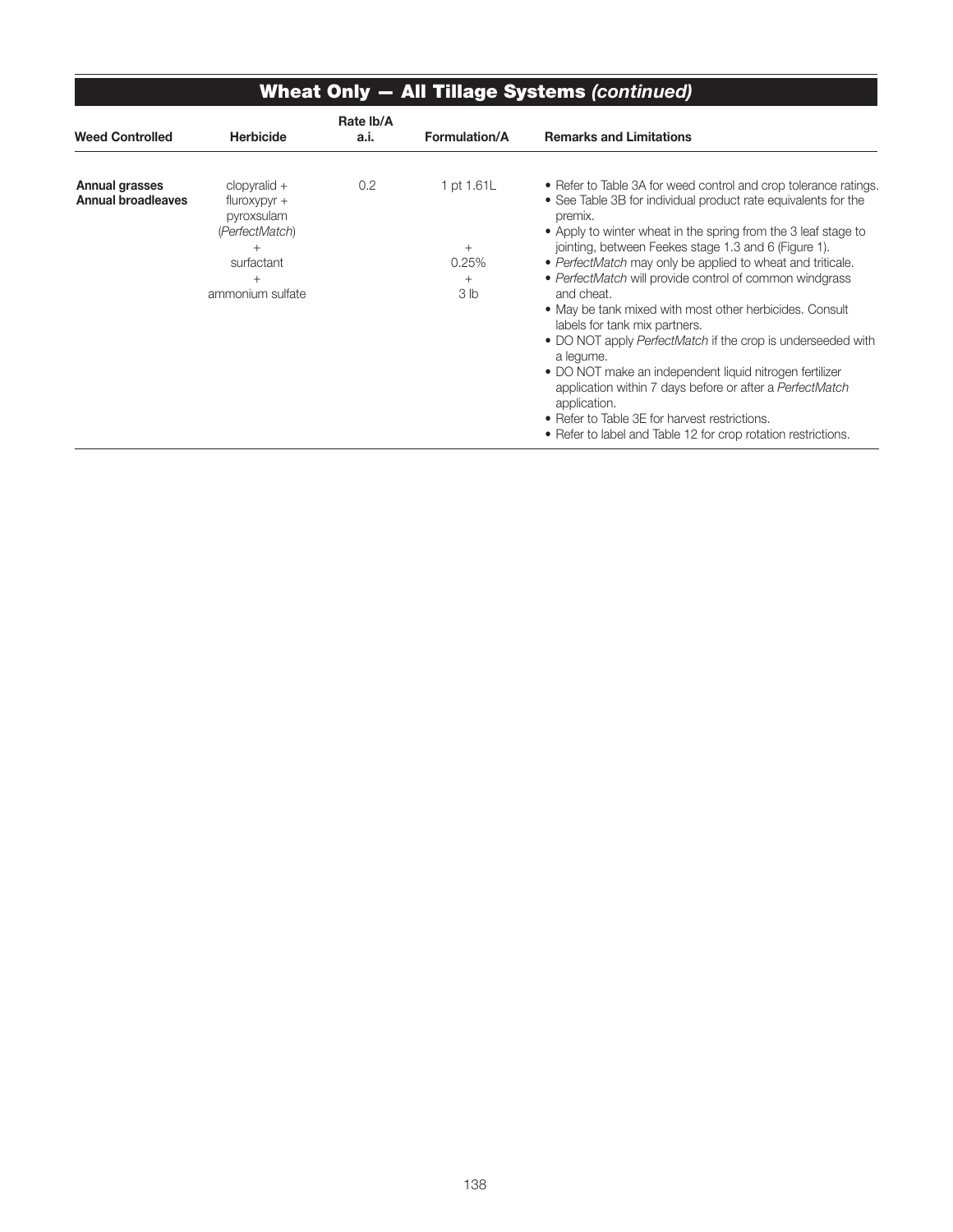| <b>Wheat Only - All Tillage Systems (continued)</b> |                                                                                                              |                   |                                                           |                                                                                                                                                                                                                                                                                                                                                                                                                                                                                                                                                                                                                                                                                                                                                                                                                                                 |  |  |  |  |  |
|-----------------------------------------------------|--------------------------------------------------------------------------------------------------------------|-------------------|-----------------------------------------------------------|-------------------------------------------------------------------------------------------------------------------------------------------------------------------------------------------------------------------------------------------------------------------------------------------------------------------------------------------------------------------------------------------------------------------------------------------------------------------------------------------------------------------------------------------------------------------------------------------------------------------------------------------------------------------------------------------------------------------------------------------------------------------------------------------------------------------------------------------------|--|--|--|--|--|
| <b>Weed Controlled</b>                              | <b>Herbicide</b>                                                                                             | Rate Ib/A<br>a.i. | Formulation/A                                             | <b>Remarks and Limitations</b>                                                                                                                                                                                                                                                                                                                                                                                                                                                                                                                                                                                                                                                                                                                                                                                                                  |  |  |  |  |  |
| Annual grasses<br><b>Annual broadleaves</b>         | $clopyralid +$<br>$fluroxypyr +$<br>pyroxsulam<br>(PerfectMatch)<br>$^{+}$<br>surfactant<br>ammonium sulfate | 0.2               | 1 pt 1.61L<br>$^{+}$<br>0.25%<br>$^{+}$<br>3 <sub>h</sub> | • Refer to Table 3A for weed control and crop tolerance ratings.<br>• See Table 3B for individual product rate equivalents for the<br>premix.<br>• Apply to winter wheat in the spring from the 3 leaf stage to<br>jointing, between Feekes stage 1.3 and 6 (Figure 1).<br>• PerfectMatch may only be applied to wheat and triticale.<br>• PerfectMatch will provide control of common windgrass<br>and cheat.<br>• May be tank mixed with most other herbicides. Consult<br>labels for tank mix partners.<br>• DO NOT apply PerfectMatch if the crop is underseeded with<br>a lequme.<br>• DO NOT make an independent liquid nitrogen fertilizer<br>application within 7 days before or after a PerfectMatch<br>application.<br>• Refer to Table 3E for harvest restrictions.<br>• Refer to label and Table 12 for crop rotation restrictions. |  |  |  |  |  |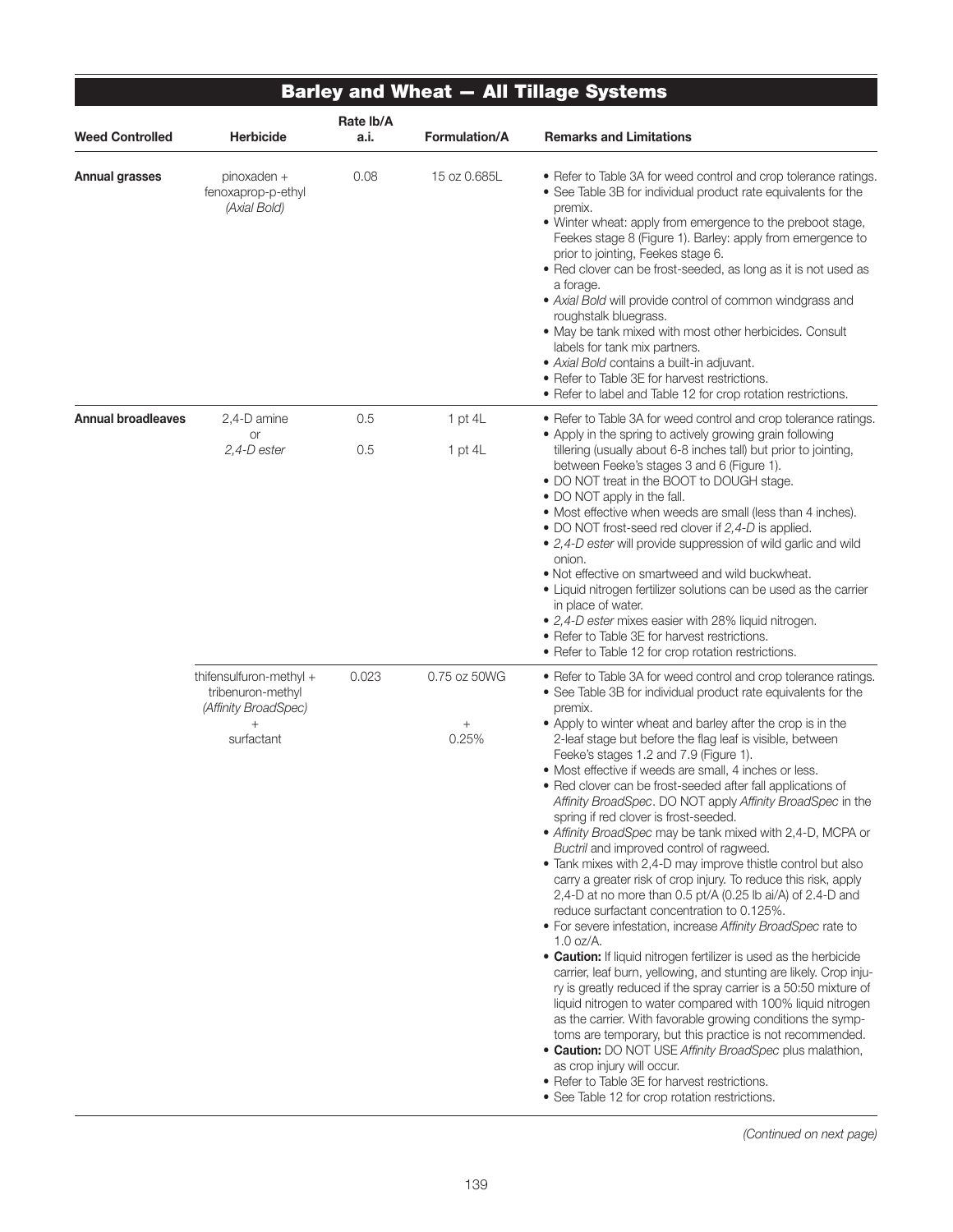|                           |                                                                                              |                   |                                 | <b>Barley and Wheat - All Tillage Systems</b>                                                                                                                                                                                                                                                                                                                                                                                                                                                                                                                                                                                                                                                                                                                                                                                                                                                                                                                                                                                                                                                                                                                                                                                                                                                                                                                                                                                                                                                                                                                                                       |
|---------------------------|----------------------------------------------------------------------------------------------|-------------------|---------------------------------|-----------------------------------------------------------------------------------------------------------------------------------------------------------------------------------------------------------------------------------------------------------------------------------------------------------------------------------------------------------------------------------------------------------------------------------------------------------------------------------------------------------------------------------------------------------------------------------------------------------------------------------------------------------------------------------------------------------------------------------------------------------------------------------------------------------------------------------------------------------------------------------------------------------------------------------------------------------------------------------------------------------------------------------------------------------------------------------------------------------------------------------------------------------------------------------------------------------------------------------------------------------------------------------------------------------------------------------------------------------------------------------------------------------------------------------------------------------------------------------------------------------------------------------------------------------------------------------------------------|
| <b>Weed Controlled</b>    | <b>Herbicide</b>                                                                             | Rate Ib/A<br>a.i. | <b>Formulation/A</b>            | <b>Remarks and Limitations</b>                                                                                                                                                                                                                                                                                                                                                                                                                                                                                                                                                                                                                                                                                                                                                                                                                                                                                                                                                                                                                                                                                                                                                                                                                                                                                                                                                                                                                                                                                                                                                                      |
| Annual grasses            | pinoxaden +<br>fenoxaprop-p-ethyl<br>(Axial Bold)                                            | 0.08              | 15 oz 0.685L                    | • Refer to Table 3A for weed control and crop tolerance ratings.<br>• See Table 3B for individual product rate equivalents for the<br>premix.<br>• Winter wheat: apply from emergence to the preboot stage,<br>Feekes stage 8 (Figure 1). Barley: apply from emergence to<br>prior to jointing, Feekes stage 6.<br>. Red clover can be frost-seeded, as long as it is not used as<br>a forage.<br>• Axial Bold will provide control of common windgrass and<br>roughstalk bluegrass.<br>. May be tank mixed with most other herbicides. Consult<br>labels for tank mix partners.<br>· Axial Bold contains a built-in adjuvant.<br>• Refer to Table 3E for harvest restrictions.<br>• Refer to label and Table 12 for crop rotation restrictions.                                                                                                                                                                                                                                                                                                                                                                                                                                                                                                                                                                                                                                                                                                                                                                                                                                                    |
| <b>Annual broadleaves</b> | 2,4-D amine<br><b>or</b>                                                                     | 0.5               | 1 pt $4L$                       | • Refer to Table 3A for weed control and crop tolerance ratings.<br>• Apply in the spring to actively growing grain following                                                                                                                                                                                                                                                                                                                                                                                                                                                                                                                                                                                                                                                                                                                                                                                                                                                                                                                                                                                                                                                                                                                                                                                                                                                                                                                                                                                                                                                                       |
|                           | $2,4$ -Dester                                                                                | 0.5               | $1$ pt $4L$                     | tillering (usually about 6-8 inches tall) but prior to jointing,<br>between Feeke's stages 3 and 6 (Figure 1).<br>• DO NOT treat in the BOOT to DOUGH stage.<br>• DO NOT apply in the fall.<br>• Most effective when weeds are small (less than 4 inches).<br>• DO NOT frost-seed red clover if 2,4-D is applied.<br>• 2,4-D ester will provide suppression of wild garlic and wild<br>onion.<br>. Not effective on smartweed and wild buckwheat.<br>• Liquid nitrogen fertilizer solutions can be used as the carrier<br>in place of water.<br>• 2,4-D ester mixes easier with 28% liquid nitrogen.<br>• Refer to Table 3E for harvest restrictions.<br>• Refer to Table 12 for crop rotation restrictions.                                                                                                                                                                                                                                                                                                                                                                                                                                                                                                                                                                                                                                                                                                                                                                                                                                                                                        |
|                           | thifensulfuron-methyl +<br>tribenuron-methyl<br>(Affinity BroadSpec)<br>$^{+}$<br>surfactant | 0.023             | 0.75 oz 50WG<br>$^{+}$<br>0.25% | • Refer to Table 3A for weed control and crop tolerance ratings.<br>• See Table 3B for individual product rate equivalents for the<br>premix.<br>• Apply to winter wheat and barley after the crop is in the<br>2-leaf stage but before the flag leaf is visible, between<br>Feeke's stages 1.2 and 7.9 (Figure 1).<br>• Most effective if weeds are small, 4 inches or less.<br>• Red clover can be frost-seeded after fall applications of<br>Affinity BroadSpec. DO NOT apply Affinity BroadSpec in the<br>spring if red clover is frost-seeded.<br>• Affinity BroadSpec may be tank mixed with 2,4-D, MCPA or<br>Buctril and improved control of ragweed.<br>• Tank mixes with 2,4-D may improve thistle control but also<br>carry a greater risk of crop injury. To reduce this risk, apply<br>2,4-D at no more than 0.5 pt/A (0.25 lb ai/A) of 2.4-D and<br>reduce surfactant concentration to 0.125%.<br>• For severe infestation, increase Affinity BroadSpec rate to<br>$1.0$ oz/A.<br>• Caution: If liquid nitrogen fertilizer is used as the herbicide<br>carrier, leaf burn, yellowing, and stunting are likely. Crop inju-<br>ry is greatly reduced if the spray carrier is a 50:50 mixture of<br>liquid nitrogen to water compared with 100% liquid nitrogen<br>as the carrier. With favorable growing conditions the symp-<br>toms are temporary, but this practice is not recommended.<br>• Caution: DO NOT USE Affinity BroadSpec plus malathion,<br>as crop injury will occur.<br>• Refer to Table 3E for harvest restrictions.<br>• See Table 12 for crop rotation restrictions. |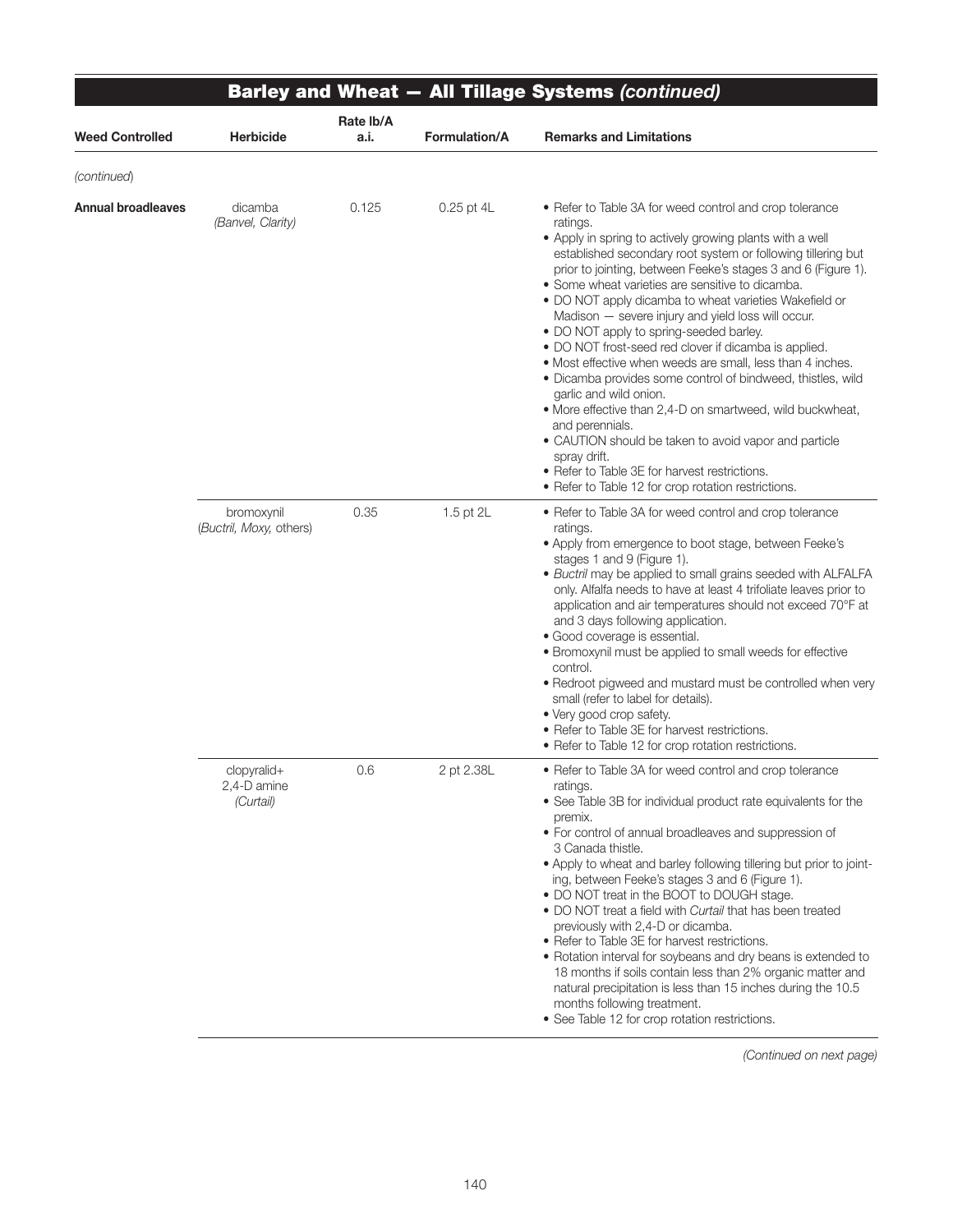| <b>Barley and Wheat - All Tillage Systems (continued)</b> |                                         |                   |                      |                                                                                                                                                                                                                                                                                                                                                                                                                                                                                                                                                                                                                                                                                                                                                                                                                                                                                                                                                                  |  |  |  |  |
|-----------------------------------------------------------|-----------------------------------------|-------------------|----------------------|------------------------------------------------------------------------------------------------------------------------------------------------------------------------------------------------------------------------------------------------------------------------------------------------------------------------------------------------------------------------------------------------------------------------------------------------------------------------------------------------------------------------------------------------------------------------------------------------------------------------------------------------------------------------------------------------------------------------------------------------------------------------------------------------------------------------------------------------------------------------------------------------------------------------------------------------------------------|--|--|--|--|
| <b>Weed Controlled</b>                                    | <b>Herbicide</b>                        | Rate lb/A<br>a.i. | <b>Formulation/A</b> | <b>Remarks and Limitations</b>                                                                                                                                                                                                                                                                                                                                                                                                                                                                                                                                                                                                                                                                                                                                                                                                                                                                                                                                   |  |  |  |  |
| (continued)                                               |                                         |                   |                      |                                                                                                                                                                                                                                                                                                                                                                                                                                                                                                                                                                                                                                                                                                                                                                                                                                                                                                                                                                  |  |  |  |  |
| <b>Annual broadleaves</b>                                 | dicamba<br>(Banvel, Clarity)            | 0.125             | 0.25 pt 4L           | • Refer to Table 3A for weed control and crop tolerance<br>ratings.<br>• Apply in spring to actively growing plants with a well<br>established secondary root system or following tillering but<br>prior to jointing, between Feeke's stages 3 and 6 (Figure 1).<br>• Some wheat varieties are sensitive to dicamba.<br>• DO NOT apply dicamba to wheat varieties Wakefield or<br>Madison - severe injury and yield loss will occur.<br>• DO NOT apply to spring-seeded barley.<br>. DO NOT frost-seed red clover if dicamba is applied.<br>. Most effective when weeds are small, less than 4 inches.<br>• Dicamba provides some control of bindweed, thistles, wild<br>garlic and wild onion.<br>• More effective than 2,4-D on smartweed, wild buckwheat,<br>and perennials.<br>• CAUTION should be taken to avoid vapor and particle<br>spray drift.<br>• Refer to Table 3E for harvest restrictions.<br>• Refer to Table 12 for crop rotation restrictions. |  |  |  |  |
|                                                           | bromoxynil<br>(Buctril, Moxy, others)   | 0.35              | 1.5 pt 2L            | • Refer to Table 3A for weed control and crop tolerance<br>ratings.<br>• Apply from emergence to boot stage, between Feeke's<br>stages 1 and 9 (Figure 1).<br>· Buctril may be applied to small grains seeded with ALFALFA<br>only. Alfalfa needs to have at least 4 trifoliate leaves prior to<br>application and air temperatures should not exceed 70°F at<br>and 3 days following application.<br>• Good coverage is essential.<br>• Bromoxynil must be applied to small weeds for effective<br>control.<br>. Redroot pigweed and mustard must be controlled when very<br>small (refer to label for details).<br>• Very good crop safety.<br>• Refer to Table 3E for harvest restrictions.<br>• Refer to Table 12 for crop rotation restrictions.                                                                                                                                                                                                            |  |  |  |  |
|                                                           | clopyralid+<br>2,4-D amine<br>(Curtail) | 0.6               | 2 pt 2.38L           | • Refer to Table 3A for weed control and crop tolerance<br>ratings.<br>• See Table 3B for individual product rate equivalents for the<br>premix.<br>• For control of annual broadleaves and suppression of<br>3 Canada thistle.<br>. Apply to wheat and barley following tillering but prior to joint-<br>ing, between Feeke's stages 3 and 6 (Figure 1).<br>• DO NOT treat in the BOOT to DOUGH stage.<br>• DO NOT treat a field with Curtail that has been treated<br>previously with 2,4-D or dicamba.<br>• Refer to Table 3E for harvest restrictions.<br>• Rotation interval for soybeans and dry beans is extended to<br>18 months if soils contain less than 2% organic matter and<br>natural precipitation is less than 15 inches during the 10.5<br>months following treatment.<br>• See Table 12 for crop rotation restrictions.                                                                                                                       |  |  |  |  |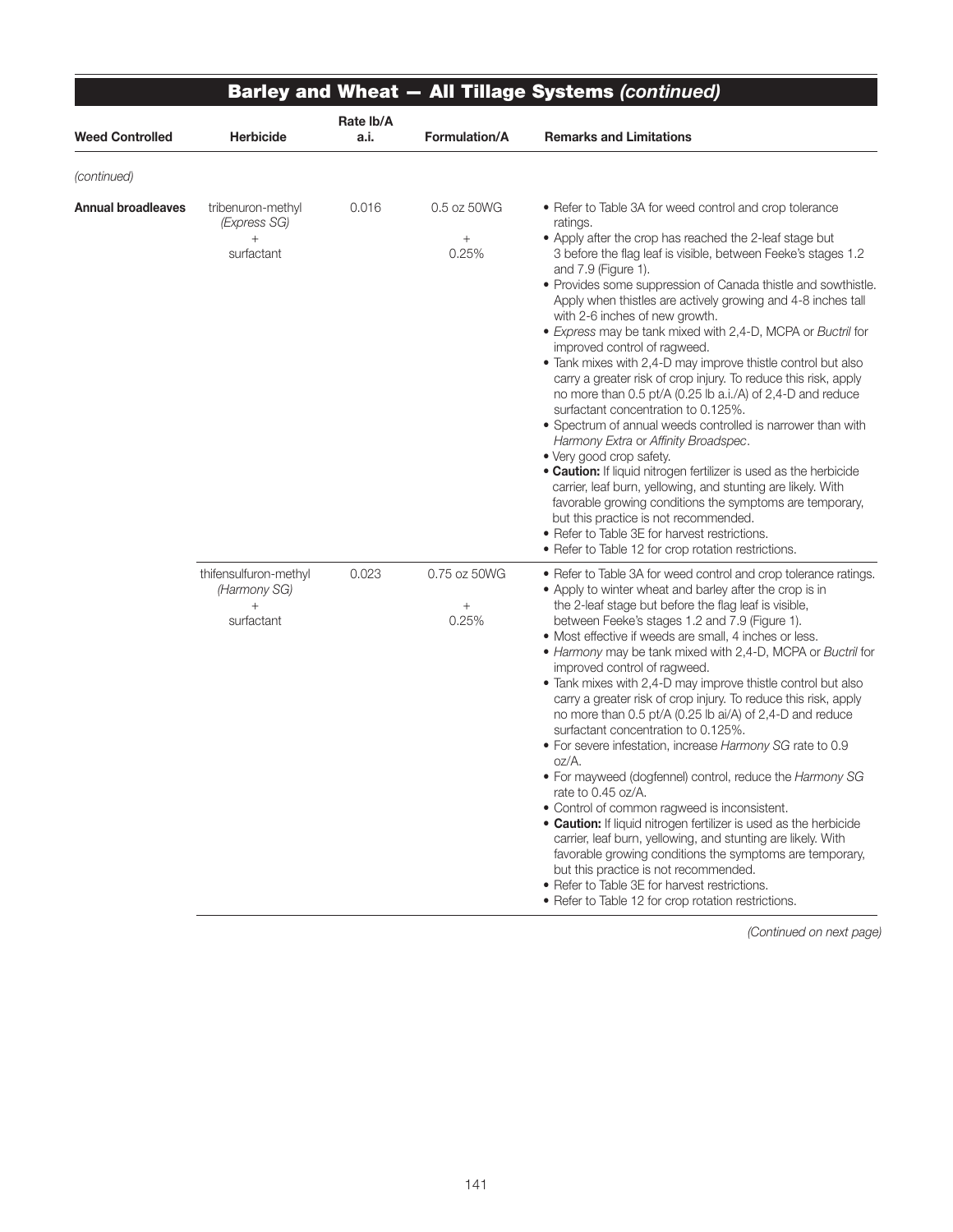|                           |                                                            |                   |                                         | <b>Barley and Wheat - All Tillage Systems (continued)</b>                                                                                                                                                                                                                                                                                                                                                                                                                                                                                                                                                                                                                                                                                                                                                                                                                                                                                                                                                                                                                                                                                                                                                             |
|---------------------------|------------------------------------------------------------|-------------------|-----------------------------------------|-----------------------------------------------------------------------------------------------------------------------------------------------------------------------------------------------------------------------------------------------------------------------------------------------------------------------------------------------------------------------------------------------------------------------------------------------------------------------------------------------------------------------------------------------------------------------------------------------------------------------------------------------------------------------------------------------------------------------------------------------------------------------------------------------------------------------------------------------------------------------------------------------------------------------------------------------------------------------------------------------------------------------------------------------------------------------------------------------------------------------------------------------------------------------------------------------------------------------|
| <b>Weed Controlled</b>    | Herbicide                                                  | Rate Ib/A<br>a.i. | Formulation/A                           | <b>Remarks and Limitations</b>                                                                                                                                                                                                                                                                                                                                                                                                                                                                                                                                                                                                                                                                                                                                                                                                                                                                                                                                                                                                                                                                                                                                                                                        |
| (continued)               |                                                            |                   |                                         |                                                                                                                                                                                                                                                                                                                                                                                                                                                                                                                                                                                                                                                                                                                                                                                                                                                                                                                                                                                                                                                                                                                                                                                                                       |
| <b>Annual broadleaves</b> | tribenuron-methyl<br>(Express SG)<br>$^{+}$<br>surfactant  | 0.016             | 0.5 oz 50WG<br>$\! + \!\!\!\!$<br>0.25% | • Refer to Table 3A for weed control and crop tolerance<br>ratings.<br>• Apply after the crop has reached the 2-leaf stage but<br>3 before the flag leaf is visible, between Feeke's stages 1.2<br>and 7.9 (Figure 1).<br>• Provides some suppression of Canada thistle and sowthistle.<br>Apply when thistles are actively growing and 4-8 inches tall<br>with 2-6 inches of new growth.<br>• Express may be tank mixed with 2,4-D, MCPA or Buctril for<br>improved control of ragweed.<br>• Tank mixes with 2,4-D may improve thistle control but also<br>carry a greater risk of crop injury. To reduce this risk, apply<br>no more than 0.5 pt/A (0.25 lb a.i./A) of 2,4-D and reduce<br>surfactant concentration to 0.125%.<br>• Spectrum of annual weeds controlled is narrower than with<br>Harmony Extra or Affinity Broadspec.<br>• Very good crop safety.<br>. Caution: If liquid nitrogen fertilizer is used as the herbicide<br>carrier, leaf burn, yellowing, and stunting are likely. With<br>favorable growing conditions the symptoms are temporary,<br>but this practice is not recommended.<br>• Refer to Table 3E for harvest restrictions.<br>• Refer to Table 12 for crop rotation restrictions. |
|                           | thifensulfuron-methyl<br>(Harmony SG)<br>$+$<br>surfactant | 0.023             | 0.75 oz 50WG<br>$^{+}$<br>0.25%         | • Refer to Table 3A for weed control and crop tolerance ratings.<br>• Apply to winter wheat and barley after the crop is in<br>the 2-leaf stage but before the flag leaf is visible,<br>between Feeke's stages 1.2 and 7.9 (Figure 1).<br>• Most effective if weeds are small, 4 inches or less.<br>• Harmony may be tank mixed with 2,4-D, MCPA or Buctril for<br>improved control of ragweed.<br>• Tank mixes with 2,4-D may improve thistle control but also<br>carry a greater risk of crop injury. To reduce this risk, apply<br>no more than 0.5 pt/A (0.25 lb ai/A) of 2,4-D and reduce<br>surfactant concentration to 0.125%.<br>• For severe infestation, increase Harmony SG rate to 0.9<br>oz/A.<br>. For mayweed (dogfennel) control, reduce the Harmony SG<br>rate to 0.45 oz/A.<br>• Control of common ragweed is inconsistent.<br>. Caution: If liquid nitrogen fertilizer is used as the herbicide<br>carrier, leaf burn, yellowing, and stunting are likely. With<br>favorable growing conditions the symptoms are temporary,<br>but this practice is not recommended.<br>• Refer to Table 3E for harvest restrictions.<br>• Refer to Table 12 for crop rotation restrictions.                       |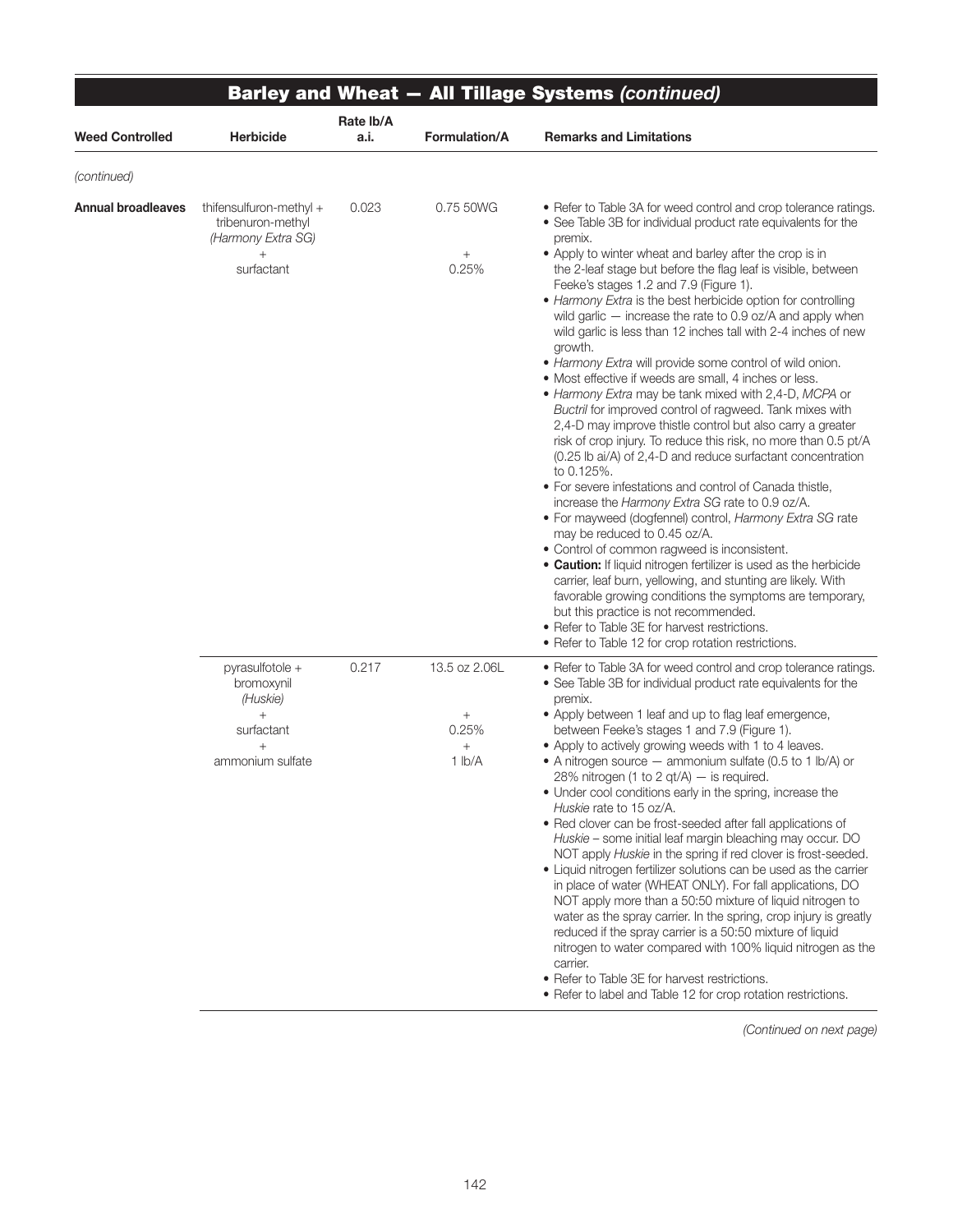|                           |                                                                                                    | Rate lb/A |                                                         | <b>Barley and Wheat - All Tillage Systems (continued)</b>                                                                                                                                                                                                                                                                                                                                                                                                                                                                                                                                                                                                                                                                                                                                                                                                                                                                                                                                                                                                                                                                                                                                                                                                                                                                                                                                                                                                                                                                                                                                            |
|---------------------------|----------------------------------------------------------------------------------------------------|-----------|---------------------------------------------------------|------------------------------------------------------------------------------------------------------------------------------------------------------------------------------------------------------------------------------------------------------------------------------------------------------------------------------------------------------------------------------------------------------------------------------------------------------------------------------------------------------------------------------------------------------------------------------------------------------------------------------------------------------------------------------------------------------------------------------------------------------------------------------------------------------------------------------------------------------------------------------------------------------------------------------------------------------------------------------------------------------------------------------------------------------------------------------------------------------------------------------------------------------------------------------------------------------------------------------------------------------------------------------------------------------------------------------------------------------------------------------------------------------------------------------------------------------------------------------------------------------------------------------------------------------------------------------------------------------|
| <b>Weed Controlled</b>    | <b>Herbicide</b>                                                                                   | a.i.      | <b>Formulation/A</b>                                    | <b>Remarks and Limitations</b>                                                                                                                                                                                                                                                                                                                                                                                                                                                                                                                                                                                                                                                                                                                                                                                                                                                                                                                                                                                                                                                                                                                                                                                                                                                                                                                                                                                                                                                                                                                                                                       |
| (continued)               |                                                                                                    |           |                                                         |                                                                                                                                                                                                                                                                                                                                                                                                                                                                                                                                                                                                                                                                                                                                                                                                                                                                                                                                                                                                                                                                                                                                                                                                                                                                                                                                                                                                                                                                                                                                                                                                      |
| <b>Annual broadleaves</b> | thifensulfuron-methyl +<br>tribenuron-methyl<br>(Harmony Extra SG)<br>$^{+}$<br>surfactant         | 0.023     | 0.75 50WG<br>$\! + \!\!\!\!$<br>0.25%                   | • Refer to Table 3A for weed control and crop tolerance ratings.<br>• See Table 3B for individual product rate equivalents for the<br>premix.<br>• Apply to winter wheat and barley after the crop is in<br>the 2-leaf stage but before the flag leaf is visible, between<br>Feeke's stages 1.2 and 7.9 (Figure 1).<br>• Harmony Extra is the best herbicide option for controlling<br>wild garlic - increase the rate to 0.9 oz/A and apply when<br>wild garlic is less than 12 inches tall with 2-4 inches of new<br>growth.<br>• Harmony Extra will provide some control of wild onion.<br>• Most effective if weeds are small, 4 inches or less.<br>• Harmony Extra may be tank mixed with 2,4-D, MCPA or<br>Buctril for improved control of ragweed. Tank mixes with<br>2,4-D may improve thistle control but also carry a greater<br>risk of crop injury. To reduce this risk, no more than 0.5 pt/A<br>(0.25 lb ai/A) of 2,4-D and reduce surfactant concentration<br>to 0.125%.<br>• For severe infestations and control of Canada thistle,<br>increase the Harmony Extra SG rate to 0.9 oz/A.<br>• For mayweed (dogfennel) control, Harmony Extra SG rate<br>may be reduced to 0.45 oz/A.<br>• Control of common ragweed is inconsistent.<br>• Caution: If liquid nitrogen fertilizer is used as the herbicide<br>carrier, leaf burn, yellowing, and stunting are likely. With<br>favorable growing conditions the symptoms are temporary,<br>but this practice is not recommended.<br>• Refer to Table 3E for harvest restrictions.<br>• Refer to Table 12 for crop rotation restrictions. |
|                           | pyrasulfotole +<br>bromoxynil<br>(Huskie)<br>$\ddot{}$<br>surfactant<br>$^{+}$<br>ammonium sulfate | 0.217     | 13.5 oz 2.06L<br>$\! + \!$<br>0.25%<br>$^{+}$<br>1 lb/A | • Refer to Table 3A for weed control and crop tolerance ratings.<br>• See Table 3B for individual product rate equivalents for the<br>premix.<br>• Apply between 1 leaf and up to flag leaf emergence,<br>between Feeke's stages 1 and 7.9 (Figure 1).<br>• Apply to actively growing weeds with 1 to 4 leaves.<br>• A nitrogen source — ammonium sulfate (0.5 to 1 lb/A) or<br>28% nitrogen (1 to 2 qt/A) - is required.<br>• Under cool conditions early in the spring, increase the<br>Huskie rate to 15 oz/A.<br>• Red clover can be frost-seeded after fall applications of<br>Huskie – some initial leaf margin bleaching may occur. DO<br>NOT apply Huskie in the spring if red clover is frost-seeded.<br>• Liquid nitrogen fertilizer solutions can be used as the carrier<br>in place of water (WHEAT ONLY). For fall applications, DO<br>NOT apply more than a 50:50 mixture of liquid nitrogen to<br>water as the spray carrier. In the spring, crop injury is greatly<br>reduced if the spray carrier is a 50:50 mixture of liquid<br>nitrogen to water compared with 100% liquid nitrogen as the<br>carrier.<br>• Refer to Table 3E for harvest restrictions.<br>• Refer to label and Table 12 for crop rotation restrictions.                                                                                                                                                                                                                                                                                                                                                         |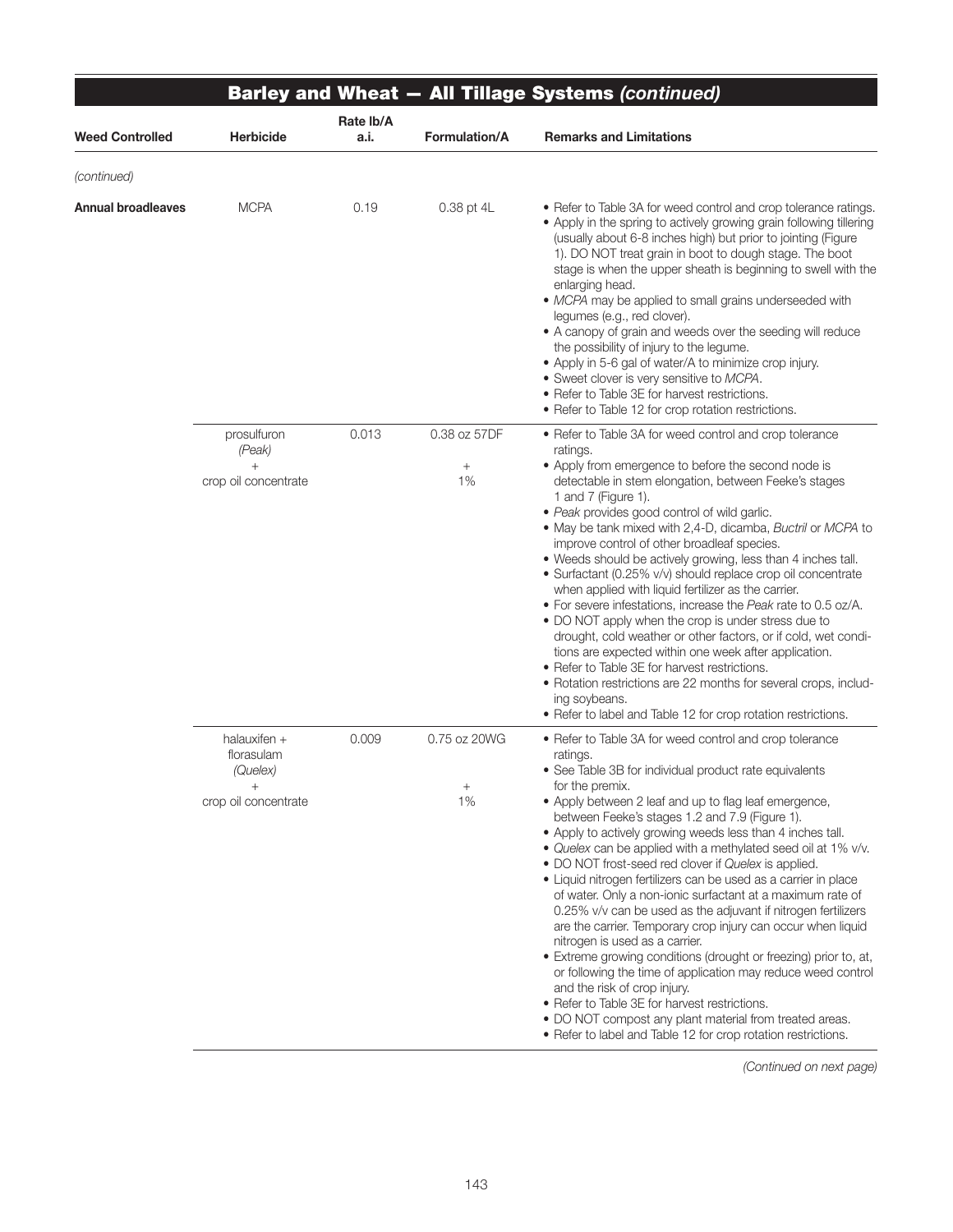|                           |                                                                |                   |                            | <b>Barley and Wheat - All Tillage Systems (continued)</b>                                                                                                                                                                                                                                                                                                                                                                                                                                                                                                                                                                                                                                                                                                                                                                                                                                                                                                                                                                                                                                               |
|---------------------------|----------------------------------------------------------------|-------------------|----------------------------|---------------------------------------------------------------------------------------------------------------------------------------------------------------------------------------------------------------------------------------------------------------------------------------------------------------------------------------------------------------------------------------------------------------------------------------------------------------------------------------------------------------------------------------------------------------------------------------------------------------------------------------------------------------------------------------------------------------------------------------------------------------------------------------------------------------------------------------------------------------------------------------------------------------------------------------------------------------------------------------------------------------------------------------------------------------------------------------------------------|
| <b>Weed Controlled</b>    | Herbicide                                                      | Rate lb/A<br>a.i. | Formulation/A              | <b>Remarks and Limitations</b>                                                                                                                                                                                                                                                                                                                                                                                                                                                                                                                                                                                                                                                                                                                                                                                                                                                                                                                                                                                                                                                                          |
| (continued)               |                                                                |                   |                            |                                                                                                                                                                                                                                                                                                                                                                                                                                                                                                                                                                                                                                                                                                                                                                                                                                                                                                                                                                                                                                                                                                         |
| <b>Annual broadleaves</b> | <b>MCPA</b>                                                    | 0.19              | 0.38 pt 4L                 | • Refer to Table 3A for weed control and crop tolerance ratings.<br>• Apply in the spring to actively growing grain following tillering<br>(usually about 6-8 inches high) but prior to jointing (Figure<br>1). DO NOT treat grain in boot to dough stage. The boot<br>stage is when the upper sheath is beginning to swell with the<br>enlarging head.<br>· MCPA may be applied to small grains underseeded with<br>legumes (e.g., red clover).<br>• A canopy of grain and weeds over the seeding will reduce<br>the possibility of injury to the legume.<br>• Apply in 5-6 gal of water/A to minimize crop injury.<br>• Sweet clover is very sensitive to MCPA.<br>• Refer to Table 3E for harvest restrictions.<br>• Refer to Table 12 for crop rotation restrictions.                                                                                                                                                                                                                                                                                                                               |
|                           | prosulfuron<br>(Peak)<br>$+$<br>crop oil concentrate           | 0.013             | 0.38 oz 57DF<br>1%         | • Refer to Table 3A for weed control and crop tolerance<br>ratings.<br>• Apply from emergence to before the second node is<br>detectable in stem elongation, between Feeke's stages<br>1 and 7 (Figure 1).<br>• Peak provides good control of wild garlic.<br>. May be tank mixed with 2,4-D, dicamba, Buctril or MCPA to<br>improve control of other broadleaf species.<br>. Weeds should be actively growing, less than 4 inches tall.<br>• Surfactant (0.25% v/v) should replace crop oil concentrate<br>when applied with liquid fertilizer as the carrier.<br>• For severe infestations, increase the Peak rate to 0.5 oz/A.<br>• DO NOT apply when the crop is under stress due to<br>drought, cold weather or other factors, or if cold, wet condi-<br>tions are expected within one week after application.<br>• Refer to Table 3E for harvest restrictions.<br>• Rotation restrictions are 22 months for several crops, includ-<br>ing soybeans.<br>• Refer to label and Table 12 for crop rotation restrictions.                                                                              |
|                           | halauxifen +<br>florasulam<br>(Quelex)<br>crop oil concentrate | 0.009             | 0.75 oz 20WG<br>$^+$<br>1% | • Refer to Table 3A for weed control and crop tolerance<br>ratings.<br>• See Table 3B for individual product rate equivalents<br>for the premix.<br>• Apply between 2 leaf and up to flag leaf emergence,<br>between Feeke's stages 1.2 and 7.9 (Figure 1).<br>• Apply to actively growing weeds less than 4 inches tall.<br>• Quelex can be applied with a methylated seed oil at 1% v/v.<br>• DO NOT frost-seed red clover if Quelex is applied.<br>• Liquid nitrogen fertilizers can be used as a carrier in place<br>of water. Only a non-ionic surfactant at a maximum rate of<br>0.25% v/v can be used as the adjuvant if nitrogen fertilizers<br>are the carrier. Temporary crop injury can occur when liquid<br>nitrogen is used as a carrier.<br>• Extreme growing conditions (drought or freezing) prior to, at,<br>or following the time of application may reduce weed control<br>and the risk of crop injury.<br>• Refer to Table 3E for harvest restrictions.<br>. DO NOT compost any plant material from treated areas.<br>• Refer to label and Table 12 for crop rotation restrictions. |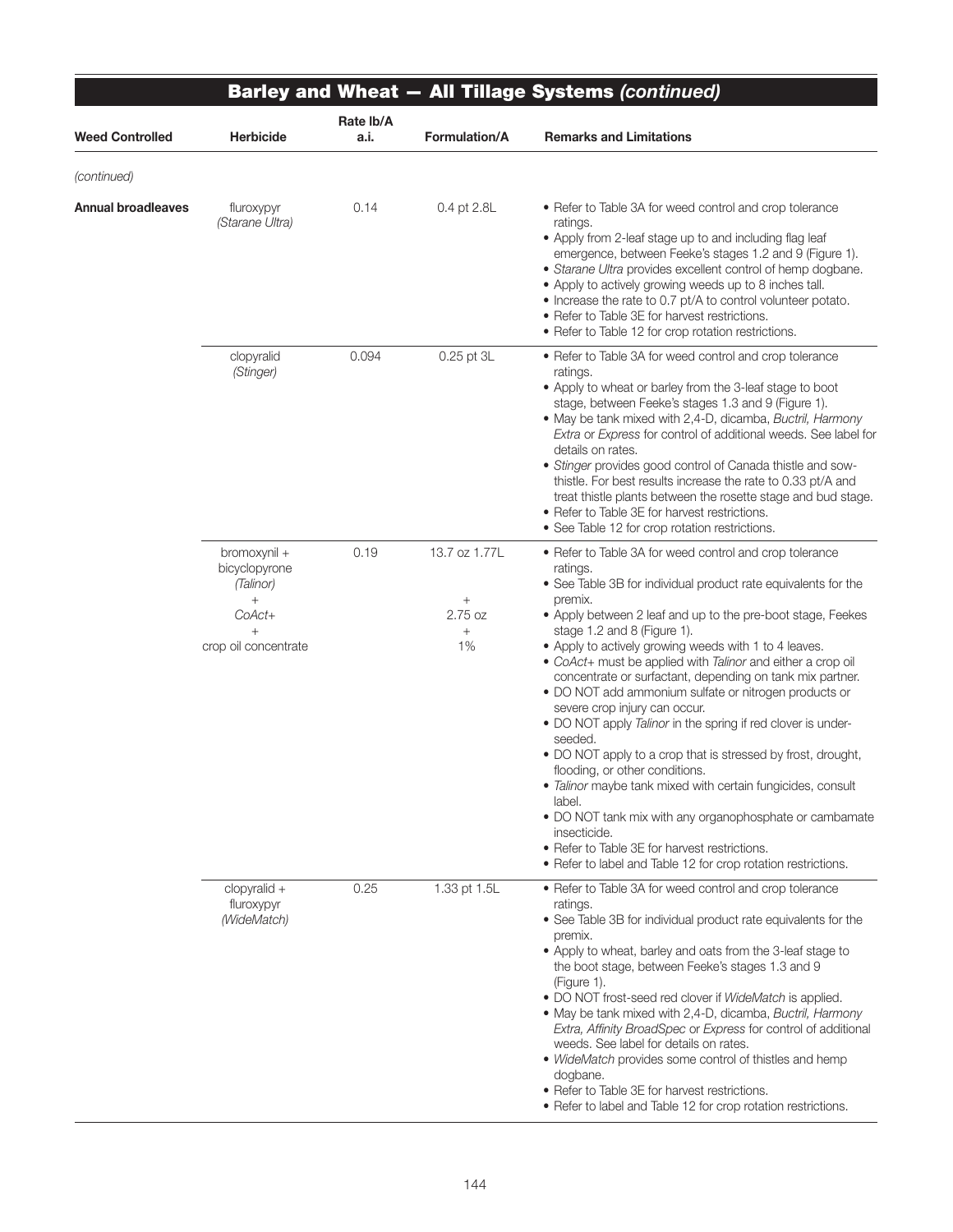|                        |                                                                                               |                   |                                                             | <b>Barley and Wheat - All Tillage Systems (continued)</b>                                                                                                                                                                                                                                                                                                                                                                                                                                                                                                                                                                                                                                                                                                                                                                                                                                                                                                                        |
|------------------------|-----------------------------------------------------------------------------------------------|-------------------|-------------------------------------------------------------|----------------------------------------------------------------------------------------------------------------------------------------------------------------------------------------------------------------------------------------------------------------------------------------------------------------------------------------------------------------------------------------------------------------------------------------------------------------------------------------------------------------------------------------------------------------------------------------------------------------------------------------------------------------------------------------------------------------------------------------------------------------------------------------------------------------------------------------------------------------------------------------------------------------------------------------------------------------------------------|
| <b>Weed Controlled</b> | <b>Herbicide</b>                                                                              | Rate lb/A<br>a.i. | <b>Formulation/A</b>                                        | <b>Remarks and Limitations</b>                                                                                                                                                                                                                                                                                                                                                                                                                                                                                                                                                                                                                                                                                                                                                                                                                                                                                                                                                   |
| (continued)            |                                                                                               |                   |                                                             |                                                                                                                                                                                                                                                                                                                                                                                                                                                                                                                                                                                                                                                                                                                                                                                                                                                                                                                                                                                  |
| Annual broadleaves     | fluroxypyr<br>(Starane Ultra)                                                                 | 0.14              | 0.4 pt 2.8L                                                 | • Refer to Table 3A for weed control and crop tolerance<br>ratings.<br>• Apply from 2-leaf stage up to and including flag leaf<br>emergence, between Feeke's stages 1.2 and 9 (Figure 1).<br>• Starane Ultra provides excellent control of hemp dogbane.<br>• Apply to actively growing weeds up to 8 inches tall.<br>• Increase the rate to 0.7 pt/A to control volunteer potato.<br>• Refer to Table 3E for harvest restrictions.<br>• Refer to Table 12 for crop rotation restrictions.                                                                                                                                                                                                                                                                                                                                                                                                                                                                                       |
|                        | clopyralid<br>(Stinger)                                                                       | 0.094             | 0.25 pt 3L                                                  | • Refer to Table 3A for weed control and crop tolerance<br>ratings.<br>• Apply to wheat or barley from the 3-leaf stage to boot<br>stage, between Feeke's stages 1.3 and 9 (Figure 1).<br>• May be tank mixed with 2,4-D, dicamba, Buctril, Harmony<br>Extra or Express for control of additional weeds. See label for<br>details on rates.<br>• Stinger provides good control of Canada thistle and sow-<br>thistle. For best results increase the rate to 0.33 pt/A and<br>treat thistle plants between the rosette stage and bud stage.<br>• Refer to Table 3E for harvest restrictions.<br>• See Table 12 for crop rotation restrictions.                                                                                                                                                                                                                                                                                                                                    |
|                        | bromoxynil +<br>bicyclopyrone<br>(Talinor)<br>$+$<br>CoAct+<br>$^{+}$<br>crop oil concentrate | 0.19              | 13.7 oz 1.77L<br>$\! + \!\!\!\!$<br>2.75 oz<br>$^{+}$<br>1% | • Refer to Table 3A for weed control and crop tolerance<br>ratings.<br>• See Table 3B for individual product rate equivalents for the<br>premix.<br>• Apply between 2 leaf and up to the pre-boot stage, Feekes<br>stage 1.2 and 8 (Figure 1).<br>• Apply to actively growing weeds with 1 to 4 leaves.<br>• CoAct+ must be applied with Talinor and either a crop oil<br>concentrate or surfactant, depending on tank mix partner.<br>• DO NOT add ammonium sulfate or nitrogen products or<br>severe crop injury can occur.<br>. DO NOT apply Talinor in the spring if red clover is under-<br>seeded.<br>• DO NOT apply to a crop that is stressed by frost, drought,<br>flooding, or other conditions.<br>• Talinor maybe tank mixed with certain fungicides, consult<br>label.<br>• DO NOT tank mix with any organophosphate or cambamate<br>insecticide.<br>• Refer to Table 3E for harvest restrictions.<br>• Refer to label and Table 12 for crop rotation restrictions. |
|                        | $clopy$ ralid +<br>fluroxypyr<br>(WideMatch)                                                  | 0.25              | 1.33 pt 1.5L                                                | • Refer to Table 3A for weed control and crop tolerance<br>ratings.<br>• See Table 3B for individual product rate equivalents for the<br>premix.<br>• Apply to wheat, barley and oats from the 3-leaf stage to<br>the boot stage, between Feeke's stages 1.3 and 9<br>(Figure 1).<br>• DO NOT frost-seed red clover if WideMatch is applied.<br>• May be tank mixed with 2,4-D, dicamba, Buctril, Harmony<br>Extra, Affinity BroadSpec or Express for control of additional<br>weeds. See label for details on rates.<br>• WideMatch provides some control of thistles and hemp<br>dogbane.<br>• Refer to Table 3E for harvest restrictions.<br>• Refer to label and Table 12 for crop rotation restrictions.                                                                                                                                                                                                                                                                    |

 $\equiv$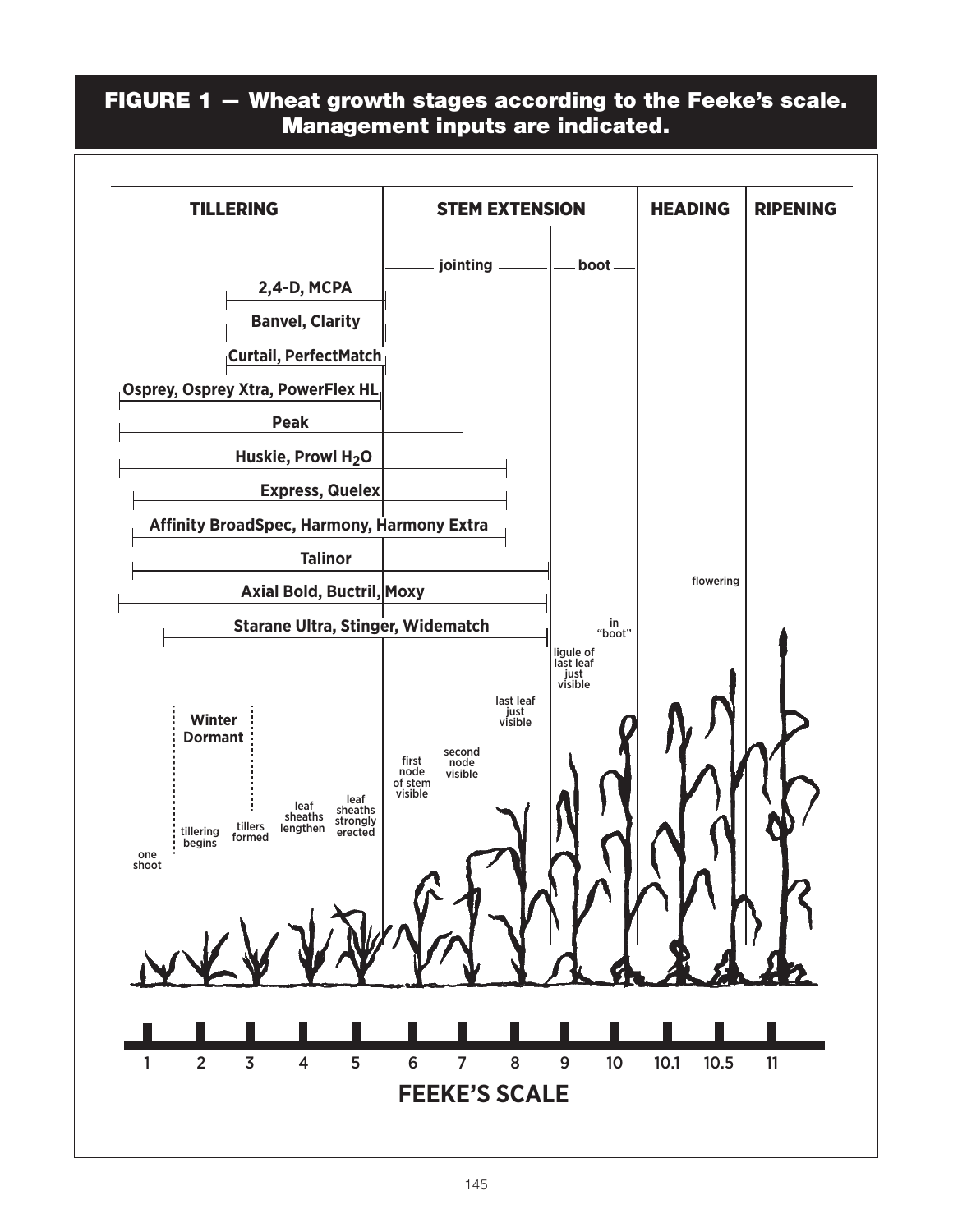## FIGURE 1 — Wheat growth stages according to the Feeke's scale. Management inputs are indicated.

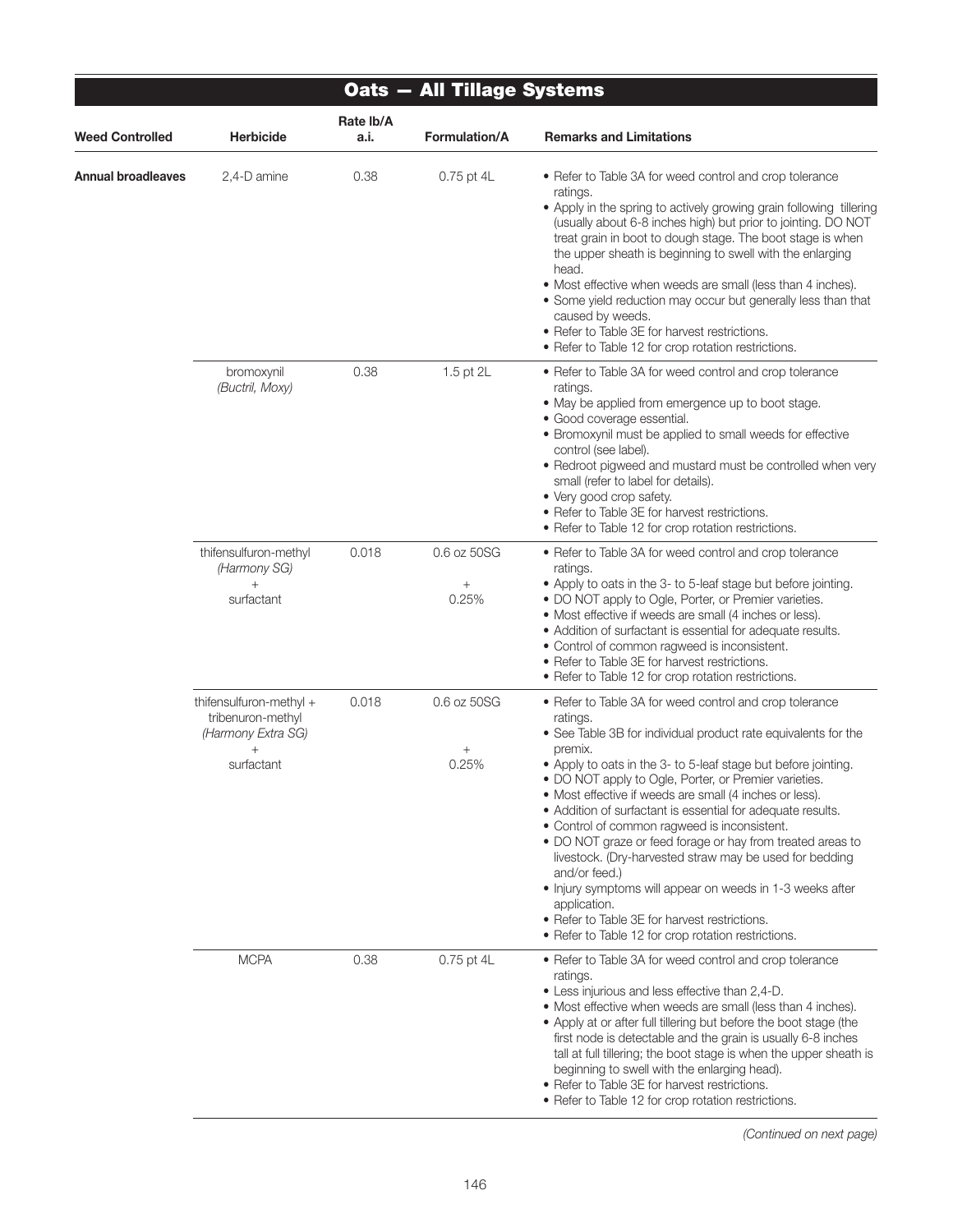| Oats - All Tillage Systems |                                                                                            |                   |                                |                                                                                                                                                                                                                                                                                                                                                                                                                                                                                                                                                                                                                                                                                                                                                                                      |  |  |  |  |  |
|----------------------------|--------------------------------------------------------------------------------------------|-------------------|--------------------------------|--------------------------------------------------------------------------------------------------------------------------------------------------------------------------------------------------------------------------------------------------------------------------------------------------------------------------------------------------------------------------------------------------------------------------------------------------------------------------------------------------------------------------------------------------------------------------------------------------------------------------------------------------------------------------------------------------------------------------------------------------------------------------------------|--|--|--|--|--|
| <b>Weed Controlled</b>     | <b>Herbicide</b>                                                                           | Rate Ib/A<br>a.i. | Formulation/A                  | <b>Remarks and Limitations</b>                                                                                                                                                                                                                                                                                                                                                                                                                                                                                                                                                                                                                                                                                                                                                       |  |  |  |  |  |
| Annual broadleaves         | 2,4-D amine                                                                                | 0.38              | 0.75 pt 4L                     | • Refer to Table 3A for weed control and crop tolerance<br>ratings.<br>• Apply in the spring to actively growing grain following tillering<br>(usually about 6-8 inches high) but prior to jointing. DO NOT<br>treat grain in boot to dough stage. The boot stage is when<br>the upper sheath is beginning to swell with the enlarging<br>head.<br>• Most effective when weeds are small (less than 4 inches).<br>• Some yield reduction may occur but generally less than that<br>caused by weeds.<br>• Refer to Table 3E for harvest restrictions.<br>• Refer to Table 12 for crop rotation restrictions.                                                                                                                                                                          |  |  |  |  |  |
|                            | bromoxynil<br>(Buctril, Moxy)                                                              | 0.38              | 1.5 pt 2L                      | • Refer to Table 3A for weed control and crop tolerance<br>ratings.<br>• May be applied from emergence up to boot stage.<br>· Good coverage essential.<br>• Bromoxynil must be applied to small weeds for effective<br>control (see label).<br>• Redroot pigweed and mustard must be controlled when very<br>small (refer to label for details).<br>• Very good crop safety.<br>• Refer to Table 3E for harvest restrictions.<br>• Refer to Table 12 for crop rotation restrictions.                                                                                                                                                                                                                                                                                                 |  |  |  |  |  |
|                            | thifensulfuron-methyl<br>(Harmony SG)<br>$^{+}$<br>surfactant                              | 0.018             | 0.6 oz 50SG<br>$\! +$<br>0.25% | • Refer to Table 3A for weed control and crop tolerance<br>ratings.<br>• Apply to oats in the 3- to 5-leaf stage but before jointing.<br>• DO NOT apply to Ogle, Porter, or Premier varieties.<br>• Most effective if weeds are small (4 inches or less).<br>• Addition of surfactant is essential for adequate results.<br>• Control of common ragweed is inconsistent.<br>• Refer to Table 3E for harvest restrictions.<br>• Refer to Table 12 for crop rotation restrictions.                                                                                                                                                                                                                                                                                                     |  |  |  |  |  |
|                            | thifensulfuron-methyl +<br>tribenuron-methyl<br>(Harmony Extra SG)<br>$^{+}$<br>surfactant | 0.018             | 0.6 oz 50SG<br>0.25%           | • Refer to Table 3A for weed control and crop tolerance<br>ratings.<br>• See Table 3B for individual product rate equivalents for the<br>premix.<br>• Apply to oats in the 3- to 5-leaf stage but before jointing.<br>• DO NOT apply to Ogle, Porter, or Premier varieties.<br>• Most effective if weeds are small (4 inches or less).<br>• Addition of surfactant is essential for adequate results.<br>• Control of common ragweed is inconsistent.<br>• DO NOT graze or feed forage or hay from treated areas to<br>livestock. (Dry-harvested straw may be used for bedding<br>and/or feed.)<br>• Injury symptoms will appear on weeds in 1-3 weeks after<br>application.<br>• Refer to Table 3E for harvest restrictions.<br>• Refer to Table 12 for crop rotation restrictions. |  |  |  |  |  |
|                            | <b>MCPA</b>                                                                                | 0.38              | 0.75 pt 4L                     | • Refer to Table 3A for weed control and crop tolerance<br>ratings.<br>• Less injurious and less effective than 2,4-D.<br>• Most effective when weeds are small (less than 4 inches).<br>• Apply at or after full tillering but before the boot stage (the<br>first node is detectable and the grain is usually 6-8 inches<br>tall at full tillering; the boot stage is when the upper sheath is<br>beginning to swell with the enlarging head).<br>• Refer to Table 3E for harvest restrictions.<br>• Refer to Table 12 for crop rotation restrictions.                                                                                                                                                                                                                             |  |  |  |  |  |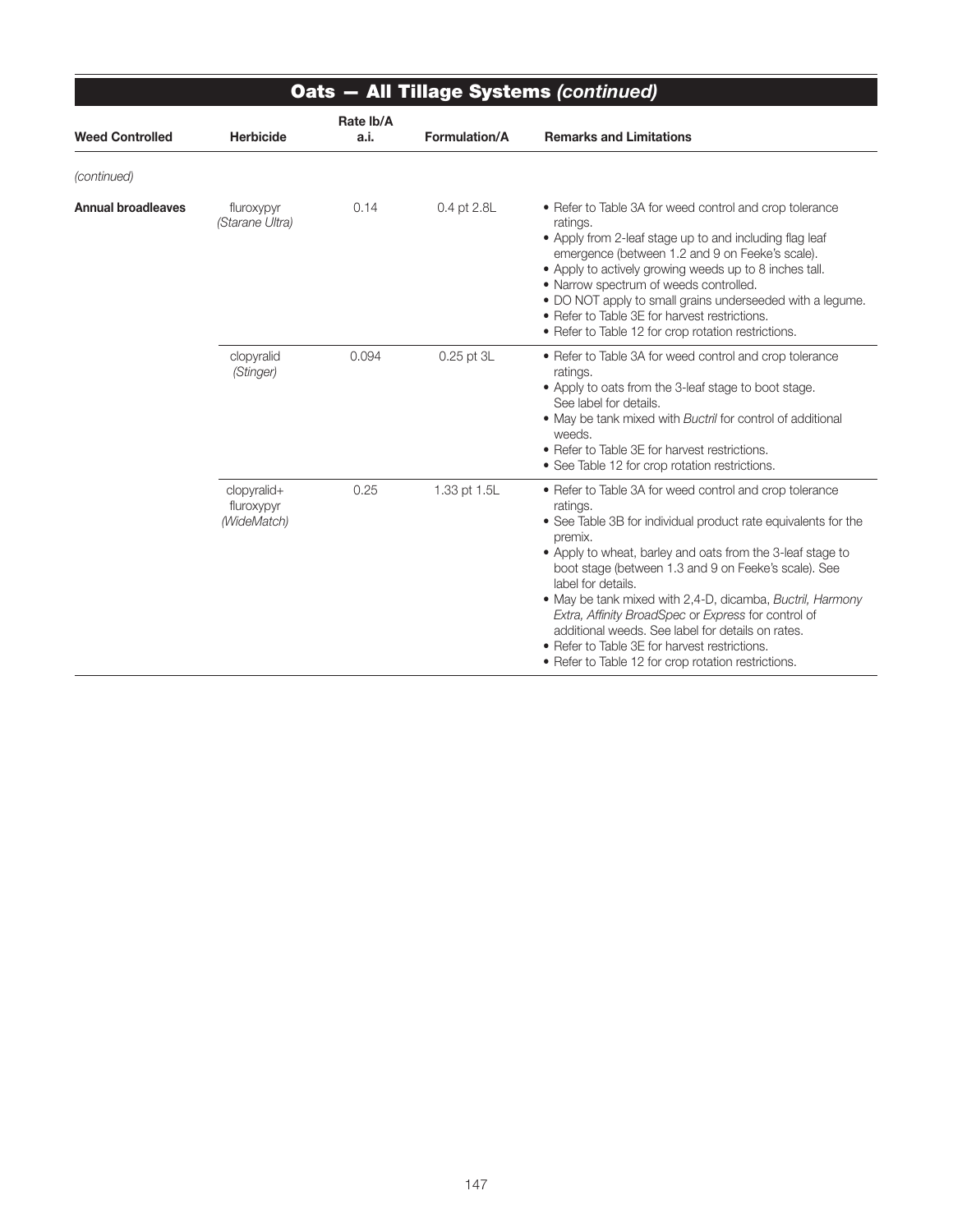| Oats - All Tillage Systems (continued) |                                          |                   |                      |                                                                                                                                                                                                                                                                                                                                                                                                                                                                                                                                                                               |  |  |
|----------------------------------------|------------------------------------------|-------------------|----------------------|-------------------------------------------------------------------------------------------------------------------------------------------------------------------------------------------------------------------------------------------------------------------------------------------------------------------------------------------------------------------------------------------------------------------------------------------------------------------------------------------------------------------------------------------------------------------------------|--|--|
| <b>Weed Controlled</b>                 | <b>Herbicide</b>                         | Rate Ib/A<br>a.i. | <b>Formulation/A</b> | <b>Remarks and Limitations</b>                                                                                                                                                                                                                                                                                                                                                                                                                                                                                                                                                |  |  |
| (continued)                            |                                          |                   |                      |                                                                                                                                                                                                                                                                                                                                                                                                                                                                                                                                                                               |  |  |
| <b>Annual broadleaves</b>              | fluroxypyr<br>(Starane Ultra)            | 0.14              | 0.4 pt 2.8L          | • Refer to Table 3A for weed control and crop tolerance<br>ratings.<br>• Apply from 2-leaf stage up to and including flag leaf<br>emergence (between 1.2 and 9 on Feeke's scale).<br>• Apply to actively growing weeds up to 8 inches tall.<br>• Narrow spectrum of weeds controlled.<br>. DO NOT apply to small grains underseeded with a legume.<br>• Refer to Table 3E for harvest restrictions.<br>• Refer to Table 12 for crop rotation restrictions.                                                                                                                    |  |  |
|                                        | clopyralid<br>(Stinger)                  | 0.094             | 0.25 pt 3L           | • Refer to Table 3A for weed control and crop tolerance<br>ratings.<br>• Apply to oats from the 3-leaf stage to boot stage.<br>See label for details.<br>. May be tank mixed with Buctril for control of additional<br>weeds.<br>• Refer to Table 3E for harvest restrictions.<br>• See Table 12 for crop rotation restrictions.                                                                                                                                                                                                                                              |  |  |
|                                        | clopyralid+<br>fluroxypyr<br>(WideMatch) | 0.25              | 1.33 pt 1.5L         | • Refer to Table 3A for weed control and crop tolerance<br>ratings.<br>• See Table 3B for individual product rate equivalents for the<br>premix.<br>• Apply to wheat, barley and oats from the 3-leaf stage to<br>boot stage (between 1.3 and 9 on Feeke's scale). See<br>label for details.<br>• May be tank mixed with 2,4-D, dicamba, Buctril, Harmony<br>Extra, Affinity BroadSpec or Express for control of<br>additional weeds. See label for details on rates.<br>• Refer to Table 3E for harvest restrictions.<br>• Refer to Table 12 for crop rotation restrictions. |  |  |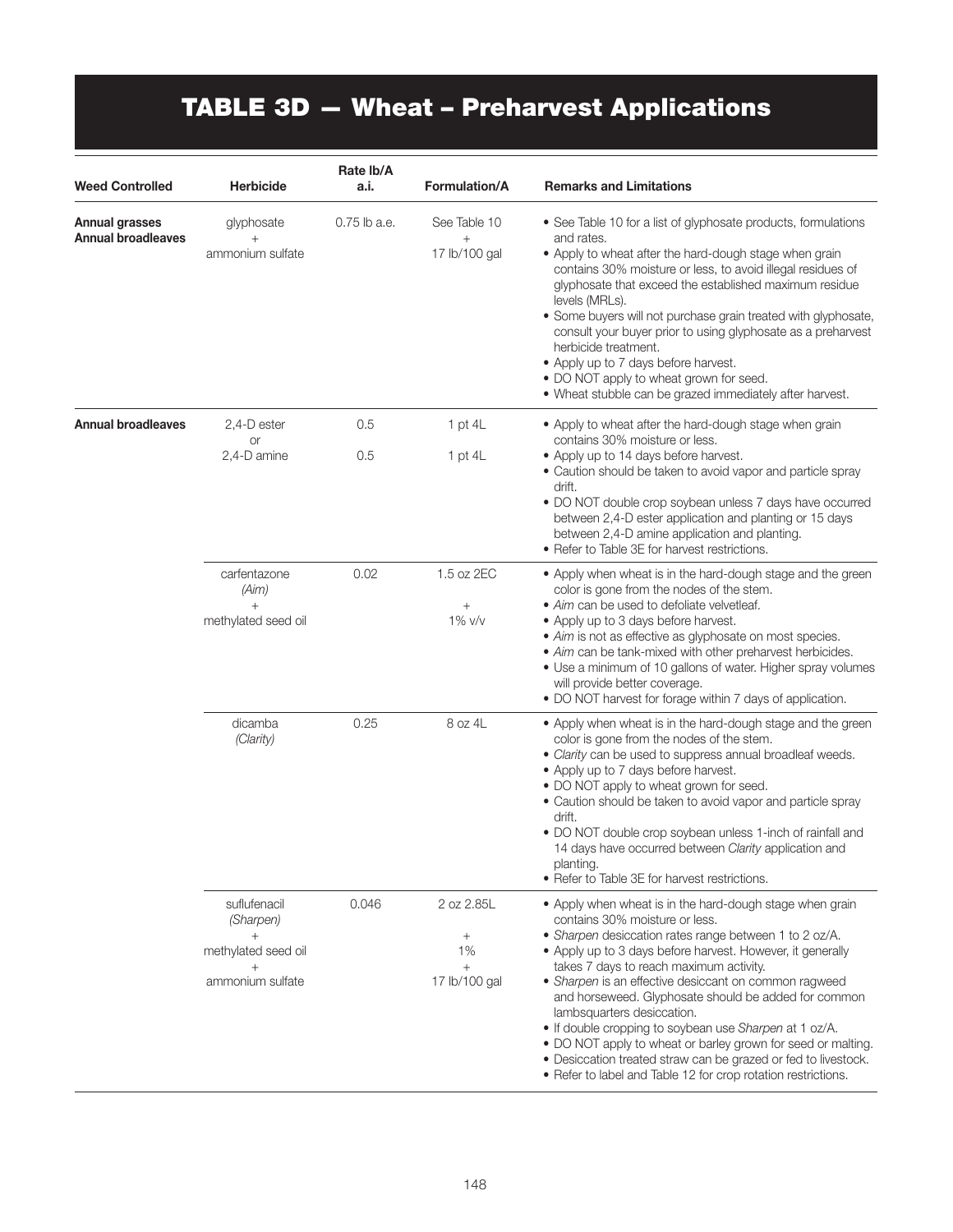# TABLE 3D — Wheat – Preharvest Applications

| <b>Weed Controlled</b>                      | <b>Herbicide</b>                                                                    | Rate Ib/A<br>a.i. | <b>Formulation/A</b>                                        | <b>Remarks and Limitations</b>                                                                                                                                                                                                                                                                                                                                                                                                                                                                                                                                                                                                                                            |
|---------------------------------------------|-------------------------------------------------------------------------------------|-------------------|-------------------------------------------------------------|---------------------------------------------------------------------------------------------------------------------------------------------------------------------------------------------------------------------------------------------------------------------------------------------------------------------------------------------------------------------------------------------------------------------------------------------------------------------------------------------------------------------------------------------------------------------------------------------------------------------------------------------------------------------------|
| Annual grasses<br><b>Annual broadleaves</b> | glyphosate<br>$^{+}$<br>ammonium sulfate                                            | 0.75 lb a.e.      | See Table 10<br>$\! + \!$<br>17 lb/100 gal                  | • See Table 10 for a list of glyphosate products, formulations<br>and rates.<br>• Apply to wheat after the hard-dough stage when grain<br>contains 30% moisture or less, to avoid illegal residues of<br>glyphosate that exceed the established maximum residue<br>levels (MRLs).<br>• Some buyers will not purchase grain treated with glyphosate,<br>consult your buyer prior to using glyphosate as a preharvest<br>herbicide treatment.<br>• Apply up to 7 days before harvest.<br>• DO NOT apply to wheat grown for seed.<br>. Wheat stubble can be grazed immediately after harvest.                                                                                |
| <b>Annual broadleaves</b>                   | 2,4-D ester<br>or<br>2,4-D amine                                                    | 0.5<br>0.5        | 1 pt $4L$<br>1 pt $4L$                                      | . Apply to wheat after the hard-dough stage when grain<br>contains 30% moisture or less.<br>• Apply up to 14 days before harvest.<br>• Caution should be taken to avoid vapor and particle spray<br>drift.<br>• DO NOT double crop soybean unless 7 days have occurred<br>between 2,4-D ester application and planting or 15 days<br>between 2,4-D amine application and planting.<br>• Refer to Table 3E for harvest restrictions.                                                                                                                                                                                                                                       |
|                                             | carfentazone<br>(Aim)<br>$^{+}$<br>methylated seed oil                              | 0.02              | 1.5 oz 2EC<br>$\! + \!\!\!\!$<br>1% v/v                     | • Apply when wheat is in the hard-dough stage and the green<br>color is gone from the nodes of the stem.<br>• Aim can be used to defoliate velvetleaf.<br>• Apply up to 3 days before harvest.<br>• Aim is not as effective as glyphosate on most species.<br>• Aim can be tank-mixed with other preharvest herbicides.<br>• Use a minimum of 10 gallons of water. Higher spray volumes<br>will provide better coverage.<br>• DO NOT harvest for forage within 7 days of application.                                                                                                                                                                                     |
|                                             | dicamba<br>(Clarity)                                                                | 0.25              | 8 oz 4L                                                     | • Apply when wheat is in the hard-dough stage and the green<br>color is gone from the nodes of the stem.<br>• Clarity can be used to suppress annual broadleaf weeds.<br>• Apply up to 7 days before harvest.<br>• DO NOT apply to wheat grown for seed.<br>• Caution should be taken to avoid vapor and particle spray<br>drift.<br>• DO NOT double crop soybean unless 1-inch of rainfall and<br>14 days have occurred between Clarity application and<br>planting.<br>• Refer to Table 3E for harvest restrictions.                                                                                                                                                    |
|                                             | suflufenacil<br>(Sharpen)<br>$+$<br>methylated seed oil<br>$^+$<br>ammonium sulfate | 0.046             | 2 oz 2.85L<br>$\! + \!\!\!\!$<br>1%<br>$+$<br>17 lb/100 gal | • Apply when wheat is in the hard-dough stage when grain<br>contains 30% moisture or less.<br>• Sharpen desiccation rates range between 1 to 2 oz/A.<br>• Apply up to 3 days before harvest. However, it generally<br>takes 7 days to reach maximum activity.<br>• Sharpen is an effective desiccant on common ragweed<br>and horseweed. Glyphosate should be added for common<br>lambsquarters desiccation.<br>. If double cropping to soybean use Sharpen at 1 oz/A.<br>. DO NOT apply to wheat or barley grown for seed or malting.<br>• Desiccation treated straw can be grazed or fed to livestock.<br>• Refer to label and Table 12 for crop rotation restrictions. |